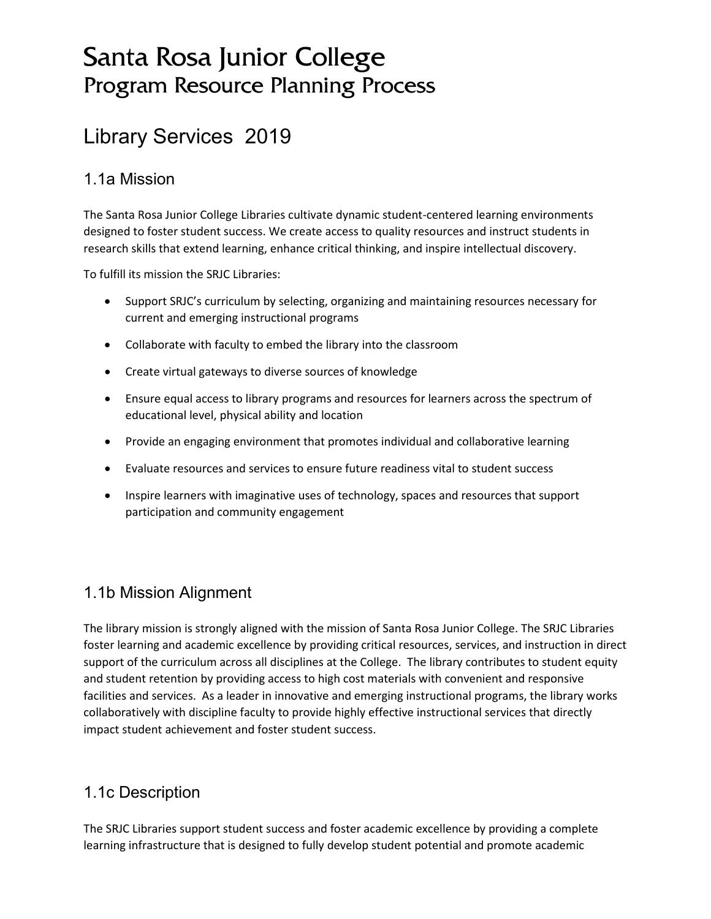# Santa Rosa Junior College Program Resource Planning Process

# Library Services 2019

### 1.1a Mission

The Santa Rosa Junior College Libraries cultivate dynamic student-centered learning environments designed to foster student success. We create access to quality resources and instruct students in research skills that extend learning, enhance critical thinking, and inspire intellectual discovery.

To fulfill its mission the SRJC Libraries:

- Support SRJC's curriculum by selecting, organizing and maintaining resources necessary for current and emerging instructional programs
- Collaborate with faculty to embed the library into the classroom
- Create virtual gateways to diverse sources of knowledge
- Ensure equal access to library programs and resources for learners across the spectrum of educational level, physical ability and location
- Provide an engaging environment that promotes individual and collaborative learning
- Evaluate resources and services to ensure future readiness vital to student success
- Inspire learners with imaginative uses of technology, spaces and resources that support participation and community engagement

# 1.1b Mission Alignment

The library mission is strongly aligned with the mission of Santa Rosa Junior College. The SRJC Libraries foster learning and academic excellence by providing critical resources, services, and instruction in direct support of the curriculum across all disciplines at the College. The library contributes to student equity and student retention by providing access to high cost materials with convenient and responsive facilities and services. As a leader in innovative and emerging instructional programs, the library works collaboratively with discipline faculty to provide highly effective instructional services that directly impact student achievement and foster student success.

# 1.1c Description

The SRJC Libraries support student success and foster academic excellence by providing a complete learning infrastructure that is designed to fully develop student potential and promote academic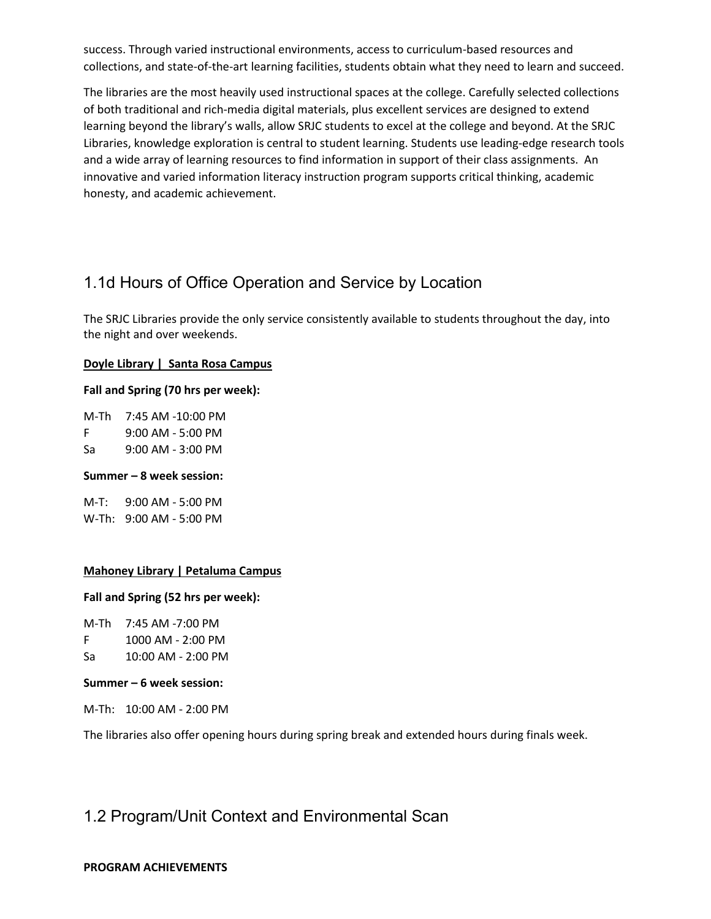success. Through varied instructional environments, access to curriculum-based resources and collections, and state-of-the-art learning facilities, students obtain what they need to learn and succeed.

The libraries are the most heavily used instructional spaces at the college. Carefully selected collections of both traditional and rich-media digital materials, plus excellent services are designed to extend learning beyond the library's walls, allow SRJC students to excel at the college and beyond. At the SRJC Libraries, knowledge exploration is central to student learning. Students use leading-edge research tools and a wide array of learning resources to find information in support of their class assignments. An innovative and varied information literacy instruction program supports critical thinking, academic honesty, and academic achievement.

# 1.1d Hours of Office Operation and Service by Location

The SRJC Libraries provide the only service consistently available to students throughout the day, into the night and over weekends.

### **Doyle Library | Santa Rosa Campus**

#### **Fall and Spring (70 hrs per week):**

M-Th 7:45 AM -10:00 PM F 9:00 AM - 5:00 PM Sa 9:00 AM - 3:00 PM

#### **Summer – 8 week session:**

M-T: 9:00 AM - 5:00 PM W-Th: 9:00 AM - 5:00 PM

### **Mahoney Library | Petaluma Campus**

### **Fall and Spring (52 hrs per week):**

M-Th 7:45 AM -7:00 PM

- F 1000 AM 2:00 PM
- Sa 10:00 AM 2:00 PM

#### **Summer – 6 week session:**

M-Th: 10:00 AM - 2:00 PM

The libraries also offer opening hours during spring break and extended hours during finals week.

### 1.2 Program/Unit Context and Environmental Scan

#### **PROGRAM ACHIEVEMENTS**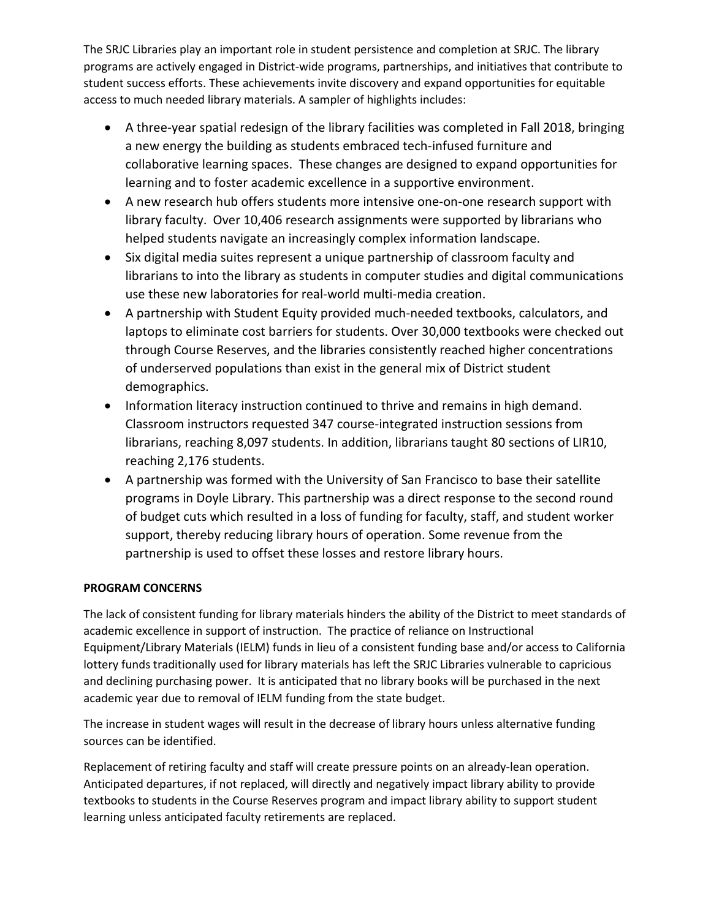The SRJC Libraries play an important role in student persistence and completion at SRJC. The library programs are actively engaged in District-wide programs, partnerships, and initiatives that contribute to student success efforts. These achievements invite discovery and expand opportunities for equitable access to much needed library materials. A sampler of highlights includes:

- A three-year spatial redesign of the library facilities was completed in Fall 2018, bringing a new energy the building as students embraced tech-infused furniture and collaborative learning spaces. These changes are designed to expand opportunities for learning and to foster academic excellence in a supportive environment.
- A new research hub offers students more intensive one-on-one research support with library faculty. Over 10,406 research assignments were supported by librarians who helped students navigate an increasingly complex information landscape.
- Six digital media suites represent a unique partnership of classroom faculty and librarians to into the library as students in computer studies and digital communications use these new laboratories for real-world multi-media creation.
- A partnership with Student Equity provided much-needed textbooks, calculators, and laptops to eliminate cost barriers for students. Over 30,000 textbooks were checked out through Course Reserves, and the libraries consistently reached higher concentrations of underserved populations than exist in the general mix of District student demographics.
- Information literacy instruction continued to thrive and remains in high demand. Classroom instructors requested 347 course-integrated instruction sessions from librarians, reaching 8,097 students. In addition, librarians taught 80 sections of LIR10, reaching 2,176 students.
- A partnership was formed with the University of San Francisco to base their satellite programs in Doyle Library. This partnership was a direct response to the second round of budget cuts which resulted in a loss of funding for faculty, staff, and student worker support, thereby reducing library hours of operation. Some revenue from the partnership is used to offset these losses and restore library hours.

### **PROGRAM CONCERNS**

The lack of consistent funding for library materials hinders the ability of the District to meet standards of academic excellence in support of instruction. The practice of reliance on Instructional Equipment/Library Materials (IELM) funds in lieu of a consistent funding base and/or access to California lottery funds traditionally used for library materials has left the SRJC Libraries vulnerable to capricious and declining purchasing power. It is anticipated that no library books will be purchased in the next academic year due to removal of IELM funding from the state budget.

The increase in student wages will result in the decrease of library hours unless alternative funding sources can be identified.

Replacement of retiring faculty and staff will create pressure points on an already-lean operation. Anticipated departures, if not replaced, will directly and negatively impact library ability to provide textbooks to students in the Course Reserves program and impact library ability to support student learning unless anticipated faculty retirements are replaced.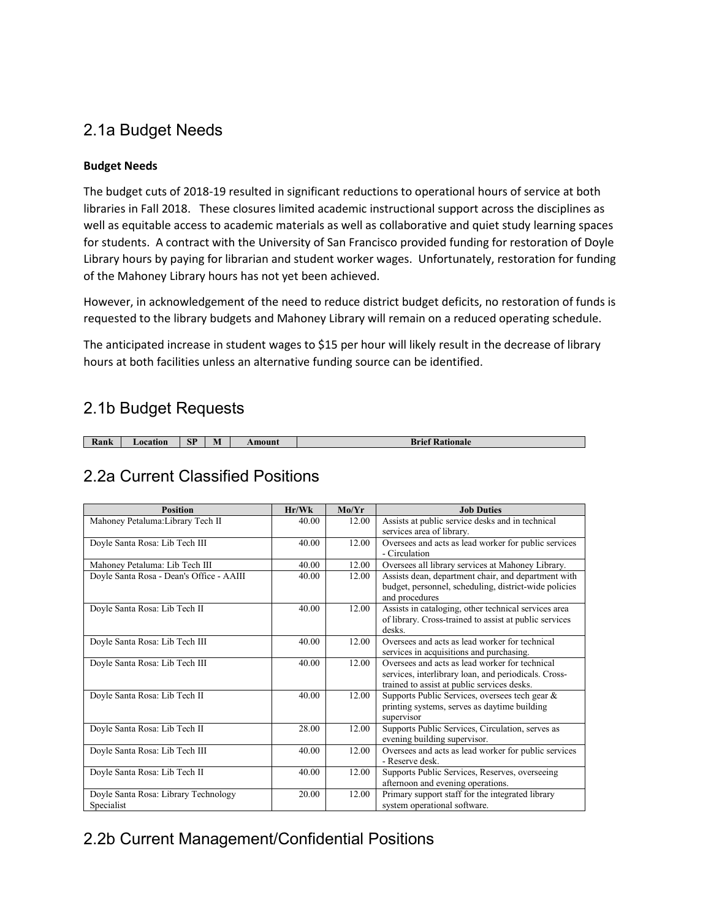### 2.1a Budget Needs

### **Budget Needs**

The budget cuts of 2018-19 resulted in significant reductions to operational hours of service at both libraries in Fall 2018. These closures limited academic instructional support across the disciplines as well as equitable access to academic materials as well as collaborative and quiet study learning spaces for students. A contract with the University of San Francisco provided funding for restoration of Doyle Library hours by paying for librarian and student worker wages. Unfortunately, restoration for funding of the Mahoney Library hours has not yet been achieved.

However, in acknowledgement of the need to reduce district budget deficits, no restoration of funds is requested to the library budgets and Mahoney Library will remain on a reduced operating schedule.

The anticipated increase in student wages to \$15 per hour will likely result in the decrease of library hours at both facilities unless an alternative funding source can be identified.

### 2.1b Budget Requests

| Kank | ocation | SP | $\blacksquare$<br>IV. | Amount | Brie<br><b>Pationale</b> |
|------|---------|----|-----------------------|--------|--------------------------|

### 2.2a Current Classified Positions

| <b>Position</b>                                    | Hr/Wk | Mo/Yr | <b>Job Duties</b>                                                                                                                                     |
|----------------------------------------------------|-------|-------|-------------------------------------------------------------------------------------------------------------------------------------------------------|
| Mahoney Petaluma: Library Tech II                  | 40.00 | 12.00 | Assists at public service desks and in technical<br>services area of library.                                                                         |
| Doyle Santa Rosa: Lib Tech III                     | 40.00 | 12.00 | Oversees and acts as lead worker for public services<br>- Circulation                                                                                 |
| Mahoney Petaluma: Lib Tech III                     | 40.00 | 12.00 | Oversees all library services at Mahoney Library.                                                                                                     |
| Doyle Santa Rosa - Dean's Office - AAIII           | 40.00 | 12.00 | Assists dean, department chair, and department with<br>budget, personnel, scheduling, district-wide policies<br>and procedures                        |
| Doyle Santa Rosa: Lib Tech II                      | 40.00 | 12.00 | Assists in cataloging, other technical services area<br>of library. Cross-trained to assist at public services<br>desks.                              |
| Doyle Santa Rosa: Lib Tech III                     | 40.00 | 12.00 | Oversees and acts as lead worker for technical<br>services in acquisitions and purchasing.                                                            |
| Doyle Santa Rosa: Lib Tech III                     | 40.00 | 12.00 | Oversees and acts as lead worker for technical<br>services, interlibrary loan, and periodicals. Cross-<br>trained to assist at public services desks. |
| Doyle Santa Rosa: Lib Tech II                      | 40.00 | 12.00 | Supports Public Services, oversees tech gear &<br>printing systems, serves as daytime building<br>supervisor                                          |
| Doyle Santa Rosa: Lib Tech II                      | 28.00 | 12.00 | Supports Public Services, Circulation, serves as<br>evening building supervisor.                                                                      |
| Doyle Santa Rosa: Lib Tech III                     | 40.00 | 12.00 | Oversees and acts as lead worker for public services<br>- Reserve desk.                                                                               |
| Doyle Santa Rosa: Lib Tech II                      | 40.00 | 12.00 | Supports Public Services, Reserves, overseeing<br>afternoon and evening operations.                                                                   |
| Doyle Santa Rosa: Library Technology<br>Specialist | 20.00 | 12.00 | Primary support staff for the integrated library<br>system operational software.                                                                      |

# 2.2b Current Management/Confidential Positions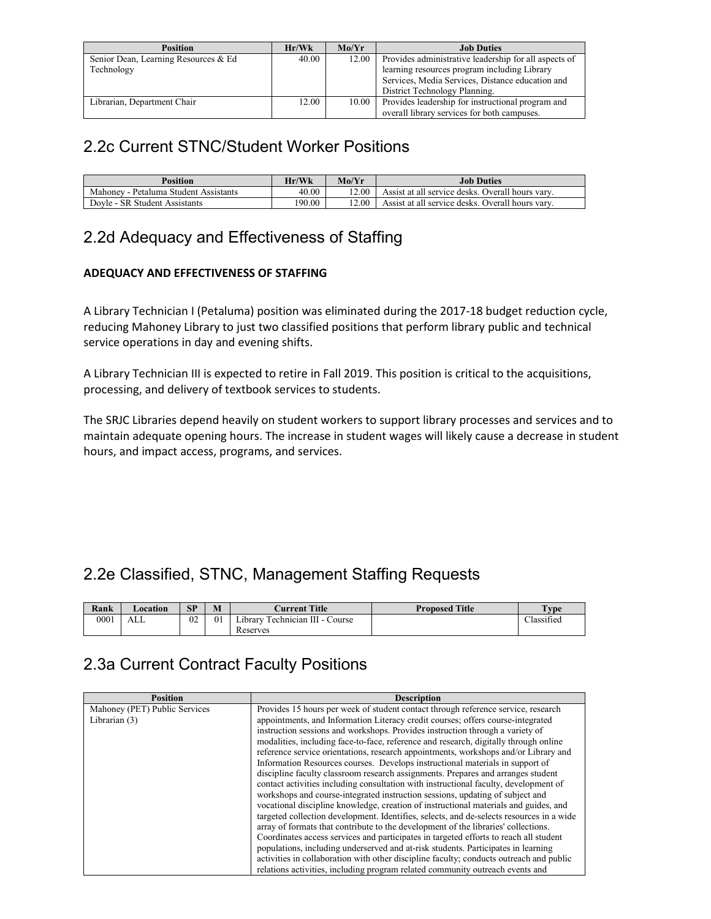| <b>Position</b>                      | Hr/Wk | Mo/Yr | <b>Job Duties</b>                                     |
|--------------------------------------|-------|-------|-------------------------------------------------------|
| Senior Dean, Learning Resources & Ed | 40.00 | 12.00 | Provides administrative leadership for all aspects of |
| Technology                           |       |       | learning resources program including Library          |
|                                      |       |       | Services, Media Services, Distance education and      |
|                                      |       |       | District Technology Planning.                         |
| Librarian, Department Chair          | 12.00 | 10.00 | Provides leadership for instructional program and     |
|                                      |       |       | overall library services for both campuses.           |

### 2.2c Current STNC/Student Worker Positions

| <b>Position</b>                       | Hr/Wk  | Mo/Yr | <b>Job Duties</b>                                |
|---------------------------------------|--------|-------|--------------------------------------------------|
| Mahoney - Petaluma Student Assistants | 40.00  | 12.00 | Assist at all service desks. Overall hours vary. |
| Dovle - SR Student Assistants         | 190.00 | 12.00 | Assist at all service desks. Overall hours vary. |

# 2.2d Adequacy and Effectiveness of Staffing

### **ADEQUACY AND EFFECTIVENESS OF STAFFING**

A Library Technician I (Petaluma) position was eliminated during the 2017-18 budget reduction cycle, reducing Mahoney Library to just two classified positions that perform library public and technical service operations in day and evening shifts.

A Library Technician III is expected to retire in Fall 2019. This position is critical to the acquisitions, processing, and delivery of textbook services to students.

The SRJC Libraries depend heavily on student workers to support library processes and services and to maintain adequate opening hours. The increase in student wages will likely cause a decrease in student hours, and impact access, programs, and services.

# 2.2e Classified, STNC, Management Staffing Requests

| Rank | <b>Location</b> | SP | M  | <b>Current Title</b>                      | <b>Proposed Title</b> | T <sub>VDE</sub> |
|------|-----------------|----|----|-------------------------------------------|-----------------------|------------------|
| 0001 | ALL             | 02 | 01 | Technician III - C<br>Course<br>∟ıbrarv ⊺ |                       | Classified       |
|      |                 |    |    | Reserves                                  |                       |                  |

# 2.3a Current Contract Faculty Positions

| <b>Position</b>               | <b>Description</b>                                                                       |
|-------------------------------|------------------------------------------------------------------------------------------|
| Mahoney (PET) Public Services | Provides 15 hours per week of student contact through reference service, research        |
| Librarian (3)                 | appointments, and Information Literacy credit courses; offers course-integrated          |
|                               | instruction sessions and workshops. Provides instruction through a variety of            |
|                               | modalities, including face-to-face, reference and research, digitally through online     |
|                               | reference service orientations, research appointments, workshops and/or Library and      |
|                               | Information Resources courses. Develops instructional materials in support of            |
|                               | discipline faculty classroom research assignments. Prepares and arranges student         |
|                               | contact activities including consultation with instructional faculty, development of     |
|                               | workshops and course-integrated instruction sessions, updating of subject and            |
|                               | vocational discipline knowledge, creation of instructional materials and guides, and     |
|                               | targeted collection development. Identifies, selects, and de-selects resources in a wide |
|                               | array of formats that contribute to the development of the libraries' collections.       |
|                               | Coordinates access services and participates in targeted efforts to reach all student    |
|                               | populations, including underserved and at-risk students. Participates in learning        |
|                               | activities in collaboration with other discipline faculty; conducts outreach and public  |
|                               | relations activities, including program related community outreach events and            |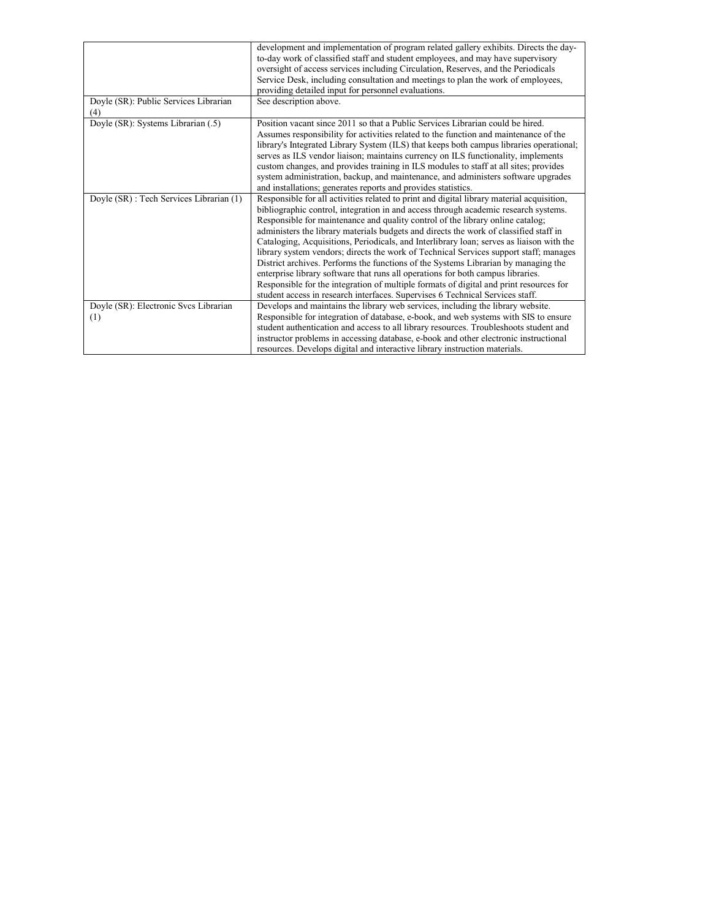|                                              | development and implementation of program related gallery exhibits. Directs the day-<br>to-day work of classified staff and student employees, and may have supervisory<br>oversight of access services including Circulation, Reserves, and the Periodicals<br>Service Desk, including consultation and meetings to plan the work of employees,<br>providing detailed input for personnel evaluations.                                                                                                                                                                                                                                                                                                                                                                                                                                                                                              |
|----------------------------------------------|------------------------------------------------------------------------------------------------------------------------------------------------------------------------------------------------------------------------------------------------------------------------------------------------------------------------------------------------------------------------------------------------------------------------------------------------------------------------------------------------------------------------------------------------------------------------------------------------------------------------------------------------------------------------------------------------------------------------------------------------------------------------------------------------------------------------------------------------------------------------------------------------------|
| Doyle (SR): Public Services Librarian<br>(4) | See description above.                                                                                                                                                                                                                                                                                                                                                                                                                                                                                                                                                                                                                                                                                                                                                                                                                                                                               |
| Doyle (SR): Systems Librarian (.5)           | Position vacant since 2011 so that a Public Services Librarian could be hired.<br>Assumes responsibility for activities related to the function and maintenance of the<br>library's Integrated Library System (ILS) that keeps both campus libraries operational;<br>serves as ILS vendor liaison; maintains currency on ILS functionality, implements<br>custom changes, and provides training in ILS modules to staff at all sites; provides<br>system administration, backup, and maintenance, and administers software upgrades<br>and installations; generates reports and provides statistics.                                                                                                                                                                                                                                                                                                 |
| Doyle (SR): Tech Services Librarian (1)      | Responsible for all activities related to print and digital library material acquisition,<br>bibliographic control, integration in and access through academic research systems.<br>Responsible for maintenance and quality control of the library online catalog;<br>administers the library materials budgets and directs the work of classified staff in<br>Cataloging, Acquisitions, Periodicals, and Interlibrary loan; serves as liaison with the<br>library system vendors; directs the work of Technical Services support staff; manages<br>District archives. Performs the functions of the Systems Librarian by managing the<br>enterprise library software that runs all operations for both campus libraries.<br>Responsible for the integration of multiple formats of digital and print resources for<br>student access in research interfaces. Supervises 6 Technical Services staff. |
| Doyle (SR): Electronic Svcs Librarian<br>(1) | Develops and maintains the library web services, including the library website.<br>Responsible for integration of database, e-book, and web systems with SIS to ensure<br>student authentication and access to all library resources. Troubleshoots student and<br>instructor problems in accessing database, e-book and other electronic instructional<br>resources. Develops digital and interactive library instruction materials.                                                                                                                                                                                                                                                                                                                                                                                                                                                                |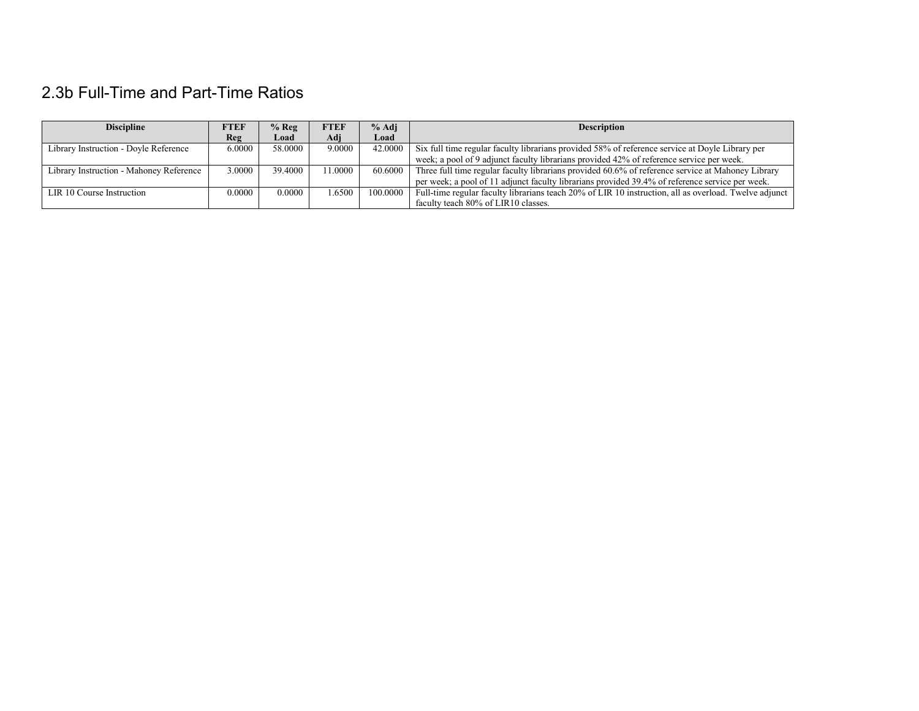# 2.3b Full-Time and Part-Time Ratios

| <b>Discipline</b>                       | FTEF   | $%$ Reg | <b>FTEF</b> | $%$ Adj  | <b>Description</b>                                                                                    |
|-----------------------------------------|--------|---------|-------------|----------|-------------------------------------------------------------------------------------------------------|
|                                         | Reg    | Load    | Adi         | Load     |                                                                                                       |
| Library Instruction - Doyle Reference   | 6.0000 | 58,0000 | 9.0000      | 42,0000  | Six full time regular faculty librarians provided 58% of reference service at Doyle Library per       |
|                                         |        |         |             |          | week; a pool of 9 adjunct faculty librarians provided 42% of reference service per week.              |
| Library Instruction - Mahoney Reference | 3.0000 | 39,4000 | 1.0000      | 60.6000  | Three full time regular faculty librarians provided 60.6% of reference service at Mahoney Library     |
|                                         |        |         |             |          | per week; a pool of 11 adjunct faculty librarians provided 39.4% of reference service per week.       |
| LIR 10 Course Instruction               | 0.0000 | 0.0000  | .6500       | 100,0000 | Full-time regular faculty librarians teach 20% of LIR 10 instruction, all as overload. Twelve adjunct |
|                                         |        |         |             |          | faculty teach 80% of LIR10 classes.                                                                   |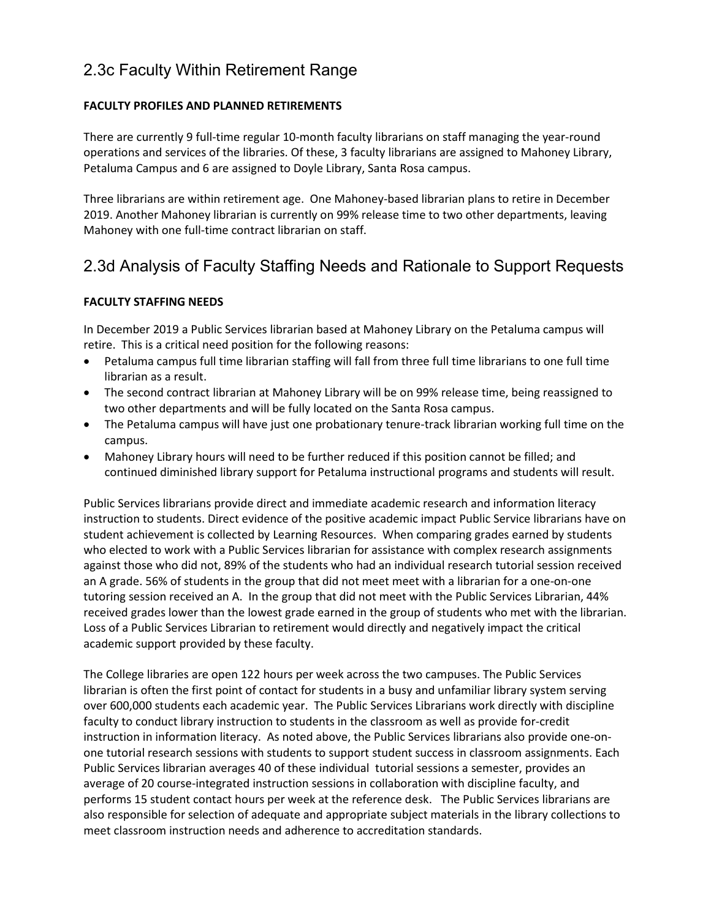### 2.3c Faculty Within Retirement Range

### **FACULTY PROFILES AND PLANNED RETIREMENTS**

There are currently 9 full-time regular 10-month faculty librarians on staff managing the year-round operations and services of the libraries. Of these, 3 faculty librarians are assigned to Mahoney Library, Petaluma Campus and 6 are assigned to Doyle Library, Santa Rosa campus.

Three librarians are within retirement age. One Mahoney-based librarian plans to retire in December 2019. Another Mahoney librarian is currently on 99% release time to two other departments, leaving Mahoney with one full-time contract librarian on staff.

### 2.3d Analysis of Faculty Staffing Needs and Rationale to Support Requests

### **FACULTY STAFFING NEEDS**

In December 2019 a Public Services librarian based at Mahoney Library on the Petaluma campus will retire. This is a critical need position for the following reasons:

- Petaluma campus full time librarian staffing will fall from three full time librarians to one full time librarian as a result.
- The second contract librarian at Mahoney Library will be on 99% release time, being reassigned to two other departments and will be fully located on the Santa Rosa campus.
- The Petaluma campus will have just one probationary tenure-track librarian working full time on the campus.
- Mahoney Library hours will need to be further reduced if this position cannot be filled; and continued diminished library support for Petaluma instructional programs and students will result.

Public Services librarians provide direct and immediate academic research and information literacy instruction to students. Direct evidence of the positive academic impact Public Service librarians have on student achievement is collected by Learning Resources. When comparing grades earned by students who elected to work with a Public Services librarian for assistance with complex research assignments against those who did not, 89% of the students who had an individual research tutorial session received an A grade. 56% of students in the group that did not meet meet with a librarian for a one-on-one tutoring session received an A. In the group that did not meet with the Public Services Librarian, 44% received grades lower than the lowest grade earned in the group of students who met with the librarian. Loss of a Public Services Librarian to retirement would directly and negatively impact the critical academic support provided by these faculty.

The College libraries are open 122 hours per week across the two campuses. The Public Services librarian is often the first point of contact for students in a busy and unfamiliar library system serving over 600,000 students each academic year. The Public Services Librarians work directly with discipline faculty to conduct library instruction to students in the classroom as well as provide for-credit instruction in information literacy. As noted above, the Public Services librarians also provide one-onone tutorial research sessions with students to support student success in classroom assignments. Each Public Services librarian averages 40 of these individual tutorial sessions a semester, provides an average of 20 course-integrated instruction sessions in collaboration with discipline faculty, and performs 15 student contact hours per week at the reference desk. The Public Services librarians are also responsible for selection of adequate and appropriate subject materials in the library collections to meet classroom instruction needs and adherence to accreditation standards.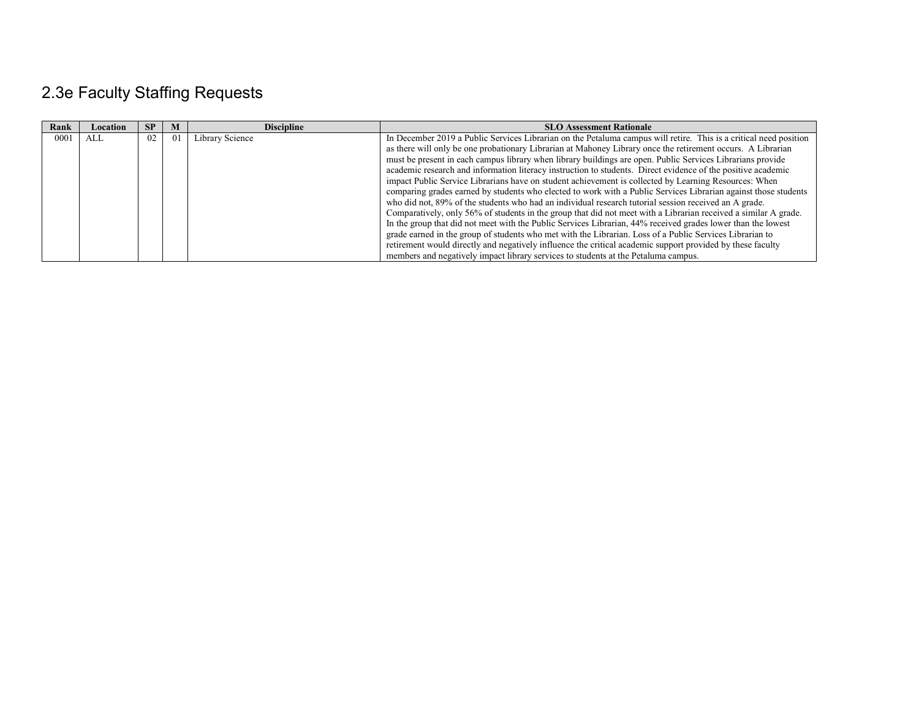# 2.3e Faculty Staffing Requests

| Rank | Location | <b>SP</b> | M  | <b>Discipline</b> | <b>SLO Assessment Rationale</b>                                                                                   |
|------|----------|-----------|----|-------------------|-------------------------------------------------------------------------------------------------------------------|
| 0001 | ALL      | 02        | 01 | Library Science   | In December 2019 a Public Services Librarian on the Petaluma campus will retire. This is a critical need position |
|      |          |           |    |                   | as there will only be one probationary Librarian at Mahoney Library once the retirement occurs. A Librarian       |
|      |          |           |    |                   | must be present in each campus library when library buildings are open. Public Services Librarians provide        |
|      |          |           |    |                   | academic research and information literacy instruction to students. Direct evidence of the positive academic      |
|      |          |           |    |                   | impact Public Service Librarians have on student achievement is collected by Learning Resources: When             |
|      |          |           |    |                   | comparing grades earned by students who elected to work with a Public Services Librarian against those students   |
|      |          |           |    |                   | who did not, 89% of the students who had an individual research tutorial session received an A grade.             |
|      |          |           |    |                   | Comparatively, only 56% of students in the group that did not meet with a Librarian received a similar A grade.   |
|      |          |           |    |                   | In the group that did not meet with the Public Services Librarian, 44% received grades lower than the lowest      |
|      |          |           |    |                   | grade earned in the group of students who met with the Librarian. Loss of a Public Services Librarian to          |
|      |          |           |    |                   | retirement would directly and negatively influence the critical academic support provided by these faculty        |
|      |          |           |    |                   | members and negatively impact library services to students at the Petaluma campus.                                |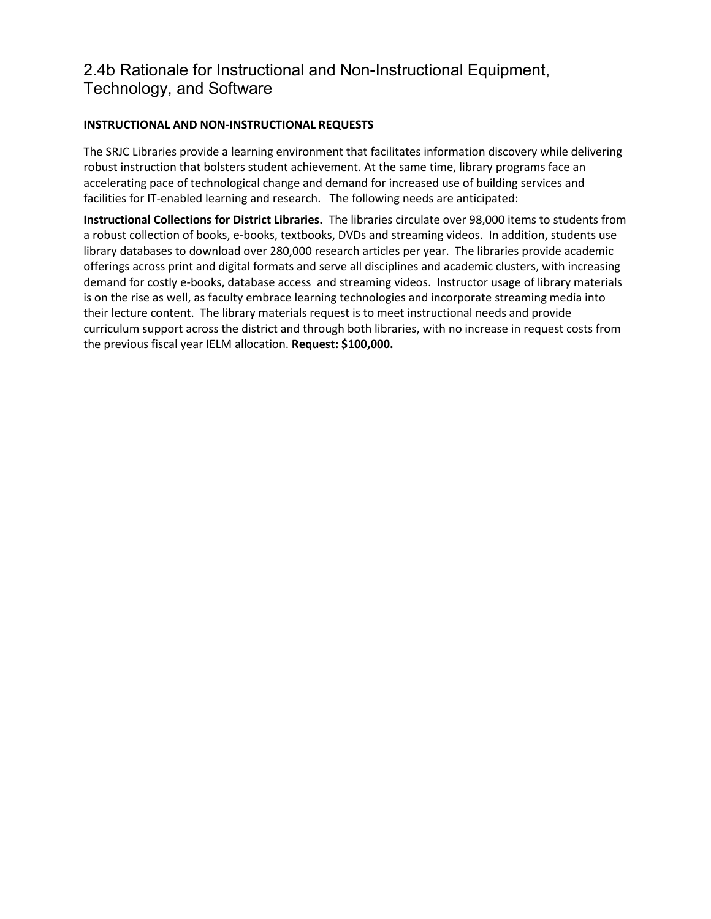### 2.4b Rationale for Instructional and Non-Instructional Equipment, Technology, and Software

### **INSTRUCTIONAL AND NON-INSTRUCTIONAL REQUESTS**

The SRJC Libraries provide a learning environment that facilitates information discovery while delivering robust instruction that bolsters student achievement. At the same time, library programs face an accelerating pace of technological change and demand for increased use of building services and facilities for IT-enabled learning and research. The following needs are anticipated:

**Instructional Collections for District Libraries.** The libraries circulate over 98,000 items to students from a robust collection of books, e-books, textbooks, DVDs and streaming videos. In addition, students use library databases to download over 280,000 research articles per year. The libraries provide academic offerings across print and digital formats and serve all disciplines and academic clusters, with increasing demand for costly e-books, database access and streaming videos. Instructor usage of library materials is on the rise as well, as faculty embrace learning technologies and incorporate streaming media into their lecture content. The library materials request is to meet instructional needs and provide curriculum support across the district and through both libraries, with no increase in request costs from the previous fiscal year IELM allocation. **Request: \$100,000.**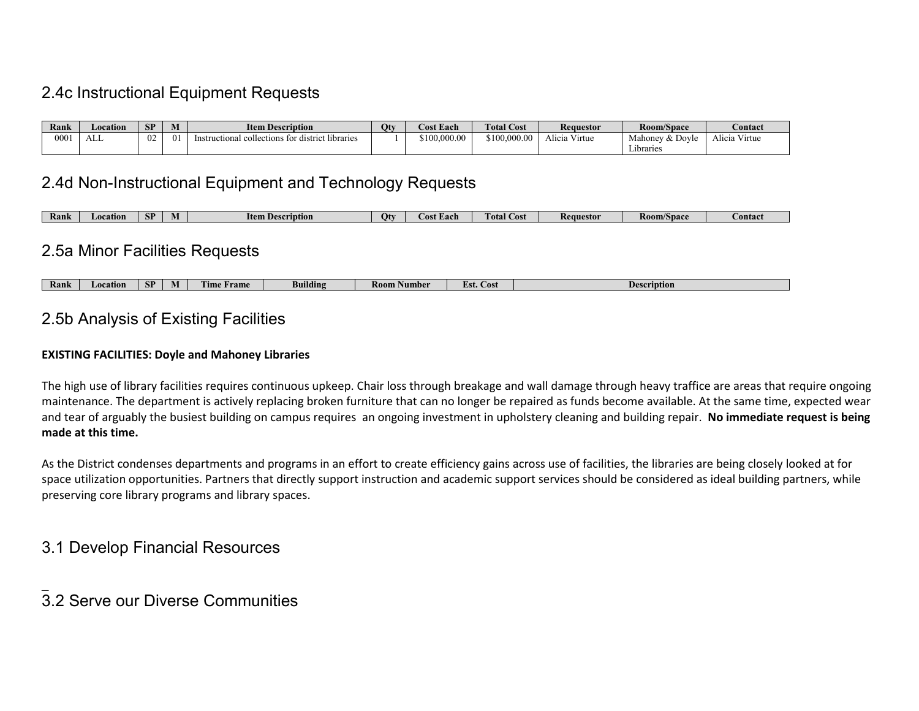# 2.4c Instructional Equipment Requests

| Rank | Location | <b>SP</b> | $ -$<br><b>NL</b> | <b>Item Description</b>                                                  | Oty | <b>Cost Each</b> | <b>Total Cost</b> | <b>Requestor</b>             | Room/Space                                   | Contact          |
|------|----------|-----------|-------------------|--------------------------------------------------------------------------|-----|------------------|-------------------|------------------------------|----------------------------------------------|------------------|
| 001  | .<br>ALL | UZ        | $^{0}$            | $\cdots$<br>structional collections foi<br>libraries<br>distric<br>mstru |     | \$100,000,00     | \$100,000.00      | $\cdots$<br>Virtue<br>licia. | --<br>Mahonev<br><i>K</i> Dovle<br>Libraries | Alicia<br>Virtue |

### 2.4d Non-Instructional Equipment and Technology Requests

### 2.5a Minor Facilities Requests

| Kank | Location | $\sim$<br>. .<br>$\mathbf{C}$ | IVI | ,,,,<br>l îme<br><b>Tame</b> | Building | R00<br>Aumber | $\sim$ $\sim$ $\sim$<br>нσ<br>- 605-<br>--- | rnption |
|------|----------|-------------------------------|-----|------------------------------|----------|---------------|---------------------------------------------|---------|

### 2.5b Analysis of Existing Facilities

#### **EXISTING FACILITIES: Doyle and Mahoney Libraries**

The high use of library facilities requires continuous upkeep. Chair loss through breakage and wall damage through heavy traffice are areas that require ongoing maintenance. The department is actively replacing broken furniture that can no longer be repaired as funds become available. At the same time, expected wear and tear of arguably the busiest building on campus requires an ongoing investment in upholstery cleaning and building repair. **No immediate request is being made at this time.**

As the District condenses departments and programs in an effort to create efficiency gains across use of facilities, the libraries are being closely looked at for space utilization opportunities. Partners that directly support instruction and academic support services should be considered as ideal building partners, while preserving core library programs and library spaces.

### 3.1 Develop Financial Resources

 $\overline{\phantom{a}}$ 

### 3.2 Serve our Diverse Communities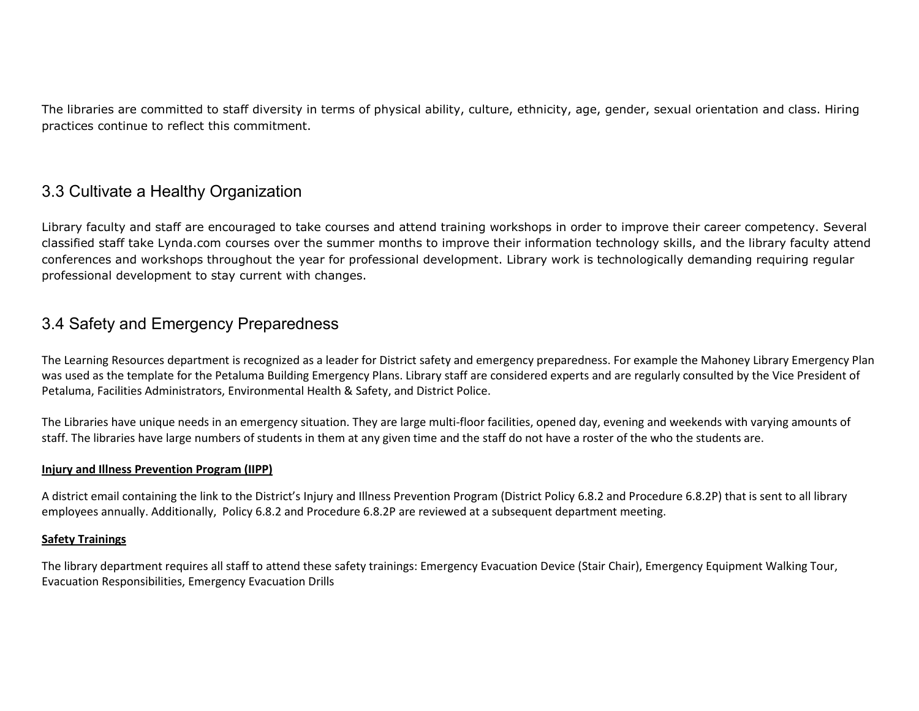The libraries are committed to staff diversity in terms of physical ability, culture, ethnicity, age, gender, sexual orientation and class. Hiring practices continue to reflect this commitment.

### 3.3 Cultivate a Healthy Organization

Library faculty and staff are encouraged to take courses and attend training workshops in order to improve their career competency. Several classified staff take Lynda.com courses over the summer months to improve their information technology skills, and the library faculty attend conferences and workshops throughout the year for professional development. Library work is technologically demanding requiring regular professional development to stay current with changes.

### 3.4 Safety and Emergency Preparedness

The Learning Resources department is recognized as a leader for District safety and emergency preparedness. For example the Mahoney Library Emergency Plan was used as the template for the Petaluma Building Emergency Plans. Library staff are considered experts and are regularly consulted by the Vice President of Petaluma, Facilities Administrators, Environmental Health & Safety, and District Police.

The Libraries have unique needs in an emergency situation. They are large multi-floor facilities, opened day, evening and weekends with varying amounts of staff. The libraries have large numbers of students in them at any given time and the staff do not have a roster of the who the students are.

#### **Injury and Illness Prevention Program (IIPP)**

A district email containing the link to the District's Injury and Illness Prevention Program (District Policy 6.8.2 and Procedure 6.8.2P) that is sent to all library employees annually. Additionally, Policy 6.8.2 and Procedure 6.8.2P are reviewed at a subsequent department meeting.

#### **Safety Trainings**

The library department requires all staff to attend these safety trainings: Emergency Evacuation Device (Stair Chair), Emergency Equipment Walking Tour, Evacuation Responsibilities, Emergency Evacuation Drills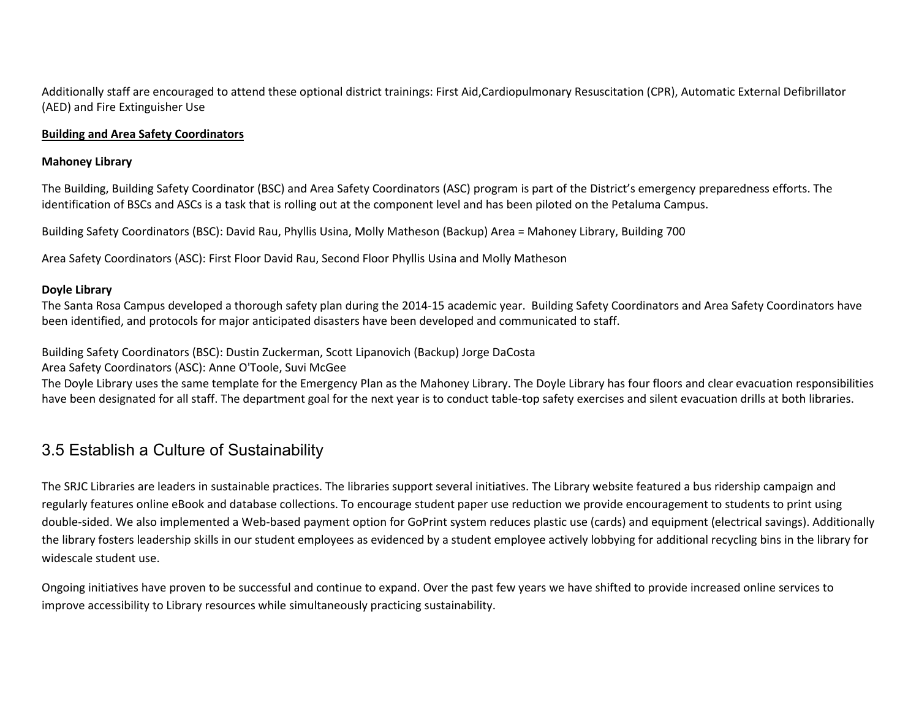Additionally staff are encouraged to attend these optional district trainings: First Aid,Cardiopulmonary Resuscitation (CPR), Automatic External Defibrillator (AED) and Fire Extinguisher Use

#### **Building and Area Safety Coordinators**

#### **Mahoney Library**

The Building, Building Safety Coordinator (BSC) and Area Safety Coordinators (ASC) program is part of the District's emergency preparedness efforts. The identification of BSCs and ASCs is a task that is rolling out at the component level and has been piloted on the Petaluma Campus.

Building Safety Coordinators (BSC): David Rau, Phyllis Usina, Molly Matheson (Backup) Area = Mahoney Library, Building 700

Area Safety Coordinators (ASC): First Floor David Rau, Second Floor Phyllis Usina and Molly Matheson

#### **Doyle Library**

The Santa Rosa Campus developed a thorough safety plan during the 2014-15 academic year. Building Safety Coordinators and Area Safety Coordinators have been identified, and protocols for major anticipated disasters have been developed and communicated to staff.

Building Safety Coordinators (BSC): Dustin Zuckerman, Scott Lipanovich (Backup) Jorge DaCosta

Area Safety Coordinators (ASC): Anne O'Toole, Suvi McGee

The Doyle Library uses the same template for the Emergency Plan as the Mahoney Library. The Doyle Library has four floors and clear evacuation responsibilities have been designated for all staff. The department goal for the next year is to conduct table-top safety exercises and silent evacuation drills at both libraries.

### 3.5 Establish a Culture of Sustainability

The SRJC Libraries are leaders in sustainable practices. The libraries support several initiatives. The Library website featured a bus ridership campaign and regularly features online eBook and database collections. To encourage student paper use reduction we provide encouragement to students to print using double-sided. We also implemented a Web-based payment option for GoPrint system reduces plastic use (cards) and equipment (electrical savings). Additionally the library fosters leadership skills in our student employees as evidenced by a student employee actively lobbying for additional recycling bins in the library for widescale student use.

Ongoing initiatives have proven to be successful and continue to expand. Over the past few years we have shifted to provide increased online services to improve accessibility to Library resources while simultaneously practicing sustainability.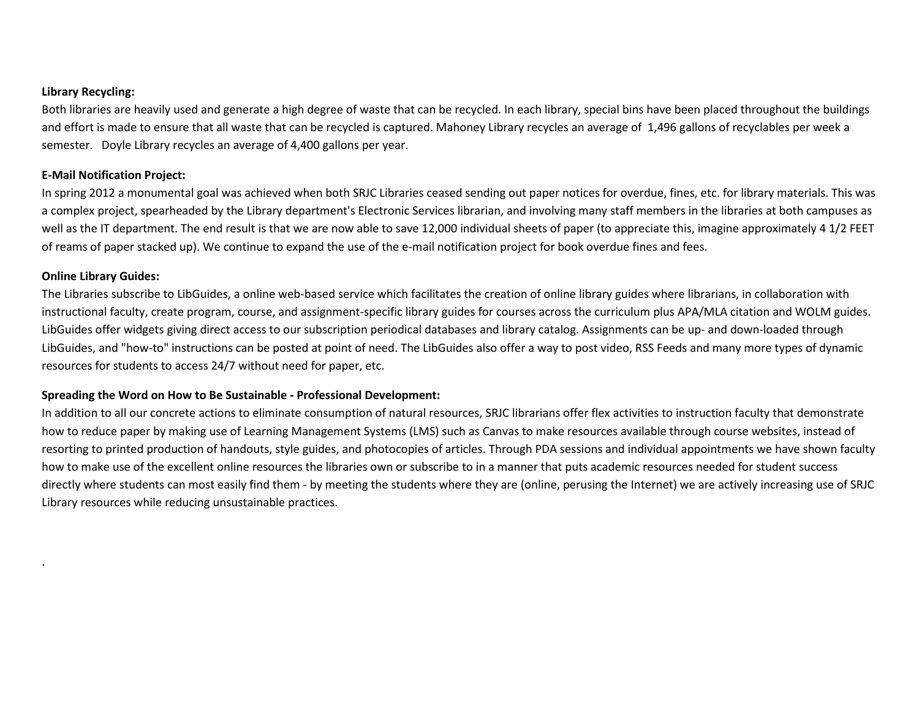#### **Library Recycling:**

Both libraries are heavily used and generate a high degree of waste that can be recycled. In each library, special bins have been placed throughout the buildings and effort is made to ensure that all waste that can be recycled is captured. Mahoney Library recycles an average of 1,496 gallons of recyclables per week a semester. Doyle Library recycles an average of 4,400 gallons per year.

#### **E-Mail Notification Project:**

In spring 2012 a monumental goal was achieved when both SRJC Libraries ceased sending out paper notices for overdue, fines, etc. for library materials. This was a complex project, spearheaded by the Library department's Electronic Services librarian, and involving many staff members in the libraries at both campuses as well as the IT department. The end result is that we are now able to save 12,000 individual sheets of paper (to appreciate this, imagine approximately 4 1/2 FEET of reams of paper stacked up). We continue to expand the use of the e-mail notification project for book overdue fines and fees.

#### **Online Library Guides:**

.

The Libraries subscribe to LibGuides, a online web-based service which facilitates the creation of online library guides where librarians, in collaboration with instructional faculty, create program, course, and assignment-specific library guides for courses across the curriculum plus APA/MLA citation and WOLM guides. LibGuides offer widgets giving direct access to our subscription periodical databases and library catalog. Assignments can be up- and down-loaded through LibGuides, and "how-to" instructions can be posted at point of need. The LibGuides also offer a way to post video, RSS Feeds and many more types of dynamic resources for students to access 24/7 without need for paper, etc.

### **Spreading the Word on How to Be Sustainable - Professional Development:**

In addition to all our concrete actions to eliminate consumption of natural resources, SRJC librarians offer flex activities to instruction faculty that demonstrate how to reduce paper by making use of Learning Management Systems (LMS) such as Canvas to make resources available through course websites, instead of resorting to printed production of handouts, style guides, and photocopies of articles. Through PDA sessions and individual appointments we have shown faculty how to make use of the excellent online resources the libraries own or subscribe to in a manner that puts academic resources needed for student success directly where students can most easily find them - by meeting the students where they are (online, perusing the Internet) we are actively increasing use of SRJC Library resources while reducing unsustainable practices.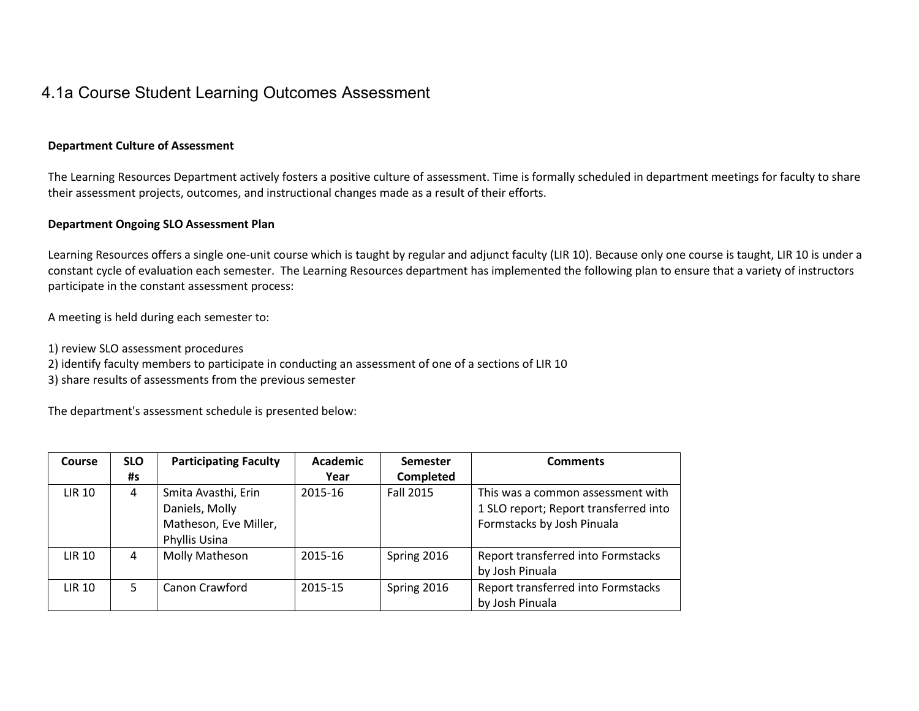### 4.1a Course Student Learning Outcomes Assessment

#### **Department Culture of Assessment**

The Learning Resources Department actively fosters a positive culture of assessment. Time is formally scheduled in department meetings for faculty to share their assessment projects, outcomes, and instructional changes made as a result of their efforts.

#### **Department Ongoing SLO Assessment Plan**

Learning Resources offers a single one-unit course which is taught by regular and adjunct faculty (LIR 10). Because only one course is taught, LIR 10 is under a constant cycle of evaluation each semester. The Learning Resources department has implemented the following plan to ensure that a variety of instructors participate in the constant assessment process:

A meeting is held during each semester to:

- 1) review SLO assessment procedures
- 2) identify faculty members to participate in conducting an assessment of one of a sections of LIR 10
- 3) share results of assessments from the previous semester

The department's assessment schedule is presented below:

| Course        | <b>SLO</b> | <b>Participating Faculty</b>                                                    | <b>Academic</b> | <b>Semester</b>  | <b>Comments</b>                                                                                          |
|---------------|------------|---------------------------------------------------------------------------------|-----------------|------------------|----------------------------------------------------------------------------------------------------------|
|               | #s         |                                                                                 | Year            | <b>Completed</b> |                                                                                                          |
| <b>LIR 10</b> | 4          | Smita Avasthi, Erin<br>Daniels, Molly<br>Matheson, Eve Miller,<br>Phyllis Usina | 2015-16         | <b>Fall 2015</b> | This was a common assessment with<br>1 SLO report; Report transferred into<br>Formstacks by Josh Pinuala |
| <b>LIR 10</b> | 4          | Molly Matheson                                                                  | 2015-16         | Spring 2016      | Report transferred into Formstacks<br>by Josh Pinuala                                                    |
| <b>LIR 10</b> | 5.         | Canon Crawford                                                                  | 2015-15         | Spring 2016      | Report transferred into Formstacks<br>by Josh Pinuala                                                    |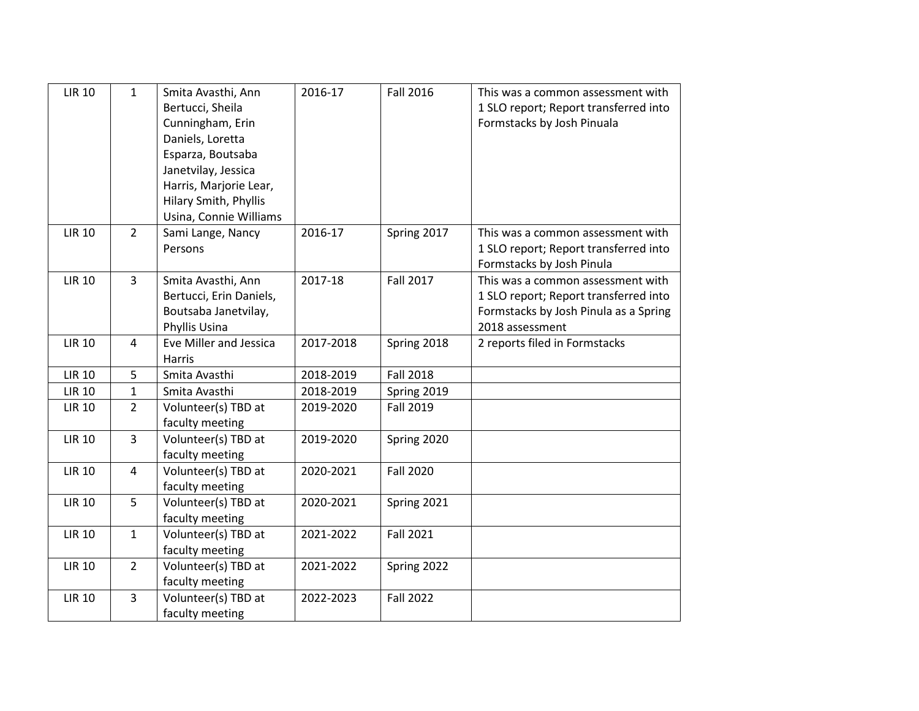| <b>LIR 10</b> | $\mathbf{1}$   | Smita Avasthi, Ann<br>Bertucci, Sheila<br>Cunningham, Erin<br>Daniels, Loretta<br>Esparza, Boutsaba<br>Janetvilay, Jessica<br>Harris, Marjorie Lear,<br>Hilary Smith, Phyllis<br>Usina, Connie Williams | 2016-17   | <b>Fall 2016</b> | This was a common assessment with<br>1 SLO report; Report transferred into<br>Formstacks by Josh Pinuala                               |
|---------------|----------------|---------------------------------------------------------------------------------------------------------------------------------------------------------------------------------------------------------|-----------|------------------|----------------------------------------------------------------------------------------------------------------------------------------|
| <b>LIR 10</b> | $\overline{2}$ | Sami Lange, Nancy<br>Persons                                                                                                                                                                            | 2016-17   | Spring 2017      | This was a common assessment with<br>1 SLO report; Report transferred into<br>Formstacks by Josh Pinula                                |
| <b>LIR 10</b> | 3              | Smita Avasthi, Ann<br>Bertucci, Erin Daniels,<br>Boutsaba Janetvilay,<br>Phyllis Usina                                                                                                                  | 2017-18   | <b>Fall 2017</b> | This was a common assessment with<br>1 SLO report; Report transferred into<br>Formstacks by Josh Pinula as a Spring<br>2018 assessment |
| <b>LIR 10</b> | 4              | Eve Miller and Jessica<br><b>Harris</b>                                                                                                                                                                 | 2017-2018 | Spring 2018      | 2 reports filed in Formstacks                                                                                                          |
| <b>LIR 10</b> | 5              | Smita Avasthi                                                                                                                                                                                           | 2018-2019 | <b>Fall 2018</b> |                                                                                                                                        |
| <b>LIR 10</b> | $\mathbf{1}$   | Smita Avasthi                                                                                                                                                                                           | 2018-2019 | Spring 2019      |                                                                                                                                        |
| <b>LIR 10</b> | $\overline{2}$ | Volunteer(s) TBD at<br>faculty meeting                                                                                                                                                                  | 2019-2020 | Fall 2019        |                                                                                                                                        |
| <b>LIR 10</b> | $\overline{3}$ | Volunteer(s) TBD at<br>faculty meeting                                                                                                                                                                  | 2019-2020 | Spring 2020      |                                                                                                                                        |
| <b>LIR 10</b> | $\overline{4}$ | Volunteer(s) TBD at<br>faculty meeting                                                                                                                                                                  | 2020-2021 | <b>Fall 2020</b> |                                                                                                                                        |
| <b>LIR 10</b> | 5              | Volunteer(s) TBD at<br>faculty meeting                                                                                                                                                                  | 2020-2021 | Spring 2021      |                                                                                                                                        |
| <b>LIR 10</b> | $\mathbf{1}$   | Volunteer(s) TBD at<br>faculty meeting                                                                                                                                                                  | 2021-2022 | <b>Fall 2021</b> |                                                                                                                                        |
| <b>LIR 10</b> | $\overline{2}$ | Volunteer(s) TBD at<br>faculty meeting                                                                                                                                                                  | 2021-2022 | Spring 2022      |                                                                                                                                        |
| <b>LIR 10</b> | $\overline{3}$ | Volunteer(s) TBD at<br>faculty meeting                                                                                                                                                                  | 2022-2023 | <b>Fall 2022</b> |                                                                                                                                        |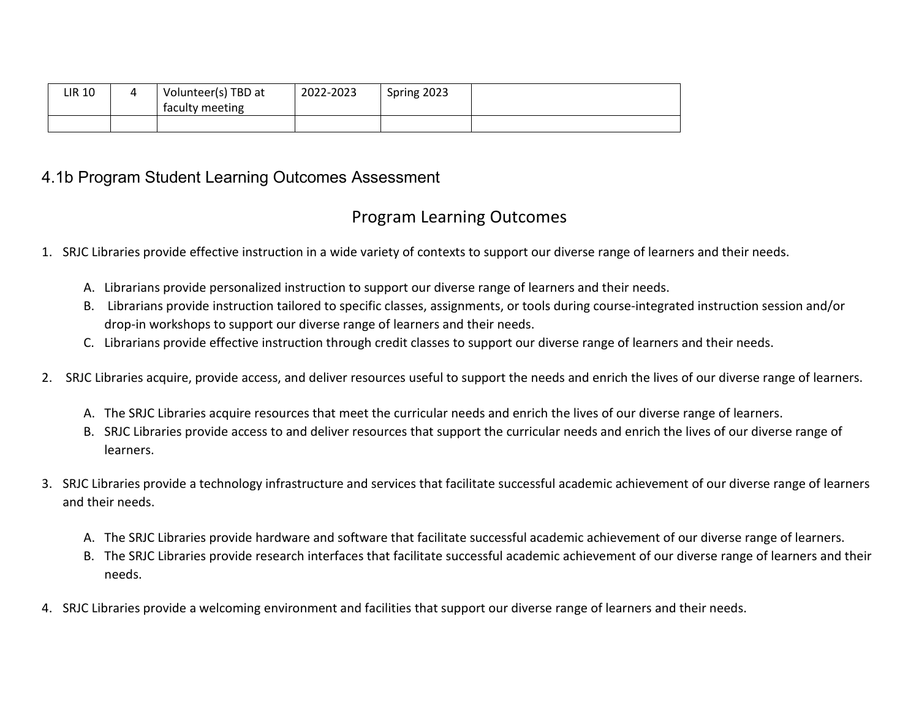| <b>LIR 10</b> | Volunteer(s) TBD at | 2022-2023 | Spring 2023 |  |
|---------------|---------------------|-----------|-------------|--|
|               | faculty meeting     |           |             |  |
|               |                     |           |             |  |

### 4.1b Program Student Learning Outcomes Assessment

# Program Learning Outcomes

- 1. SRJC Libraries provide effective instruction in a wide variety of contexts to support our diverse range of learners and their needs.
	- A. Librarians provide personalized instruction to support our diverse range of learners and their needs.
	- B. Librarians provide instruction tailored to specific classes, assignments, or tools during course-integrated instruction session and/or drop-in workshops to support our diverse range of learners and their needs.
	- C. Librarians provide effective instruction through credit classes to support our diverse range of learners and their needs.
- 2. SRJC Libraries acquire, provide access, and deliver resources useful to support the needs and enrich the lives of our diverse range of learners.
	- A. The SRJC Libraries acquire resources that meet the curricular needs and enrich the lives of our diverse range of learners.
	- B. SRJC Libraries provide access to and deliver resources that support the curricular needs and enrich the lives of our diverse range of learners.
- 3. SRJC Libraries provide a technology infrastructure and services that facilitate successful academic achievement of our diverse range of learners and their needs.
	- A. The SRJC Libraries provide hardware and software that facilitate successful academic achievement of our diverse range of learners.
	- B. The SRJC Libraries provide research interfaces that facilitate successful academic achievement of our diverse range of learners and their needs.
- 4. SRJC Libraries provide a welcoming environment and facilities that support our diverse range of learners and their needs.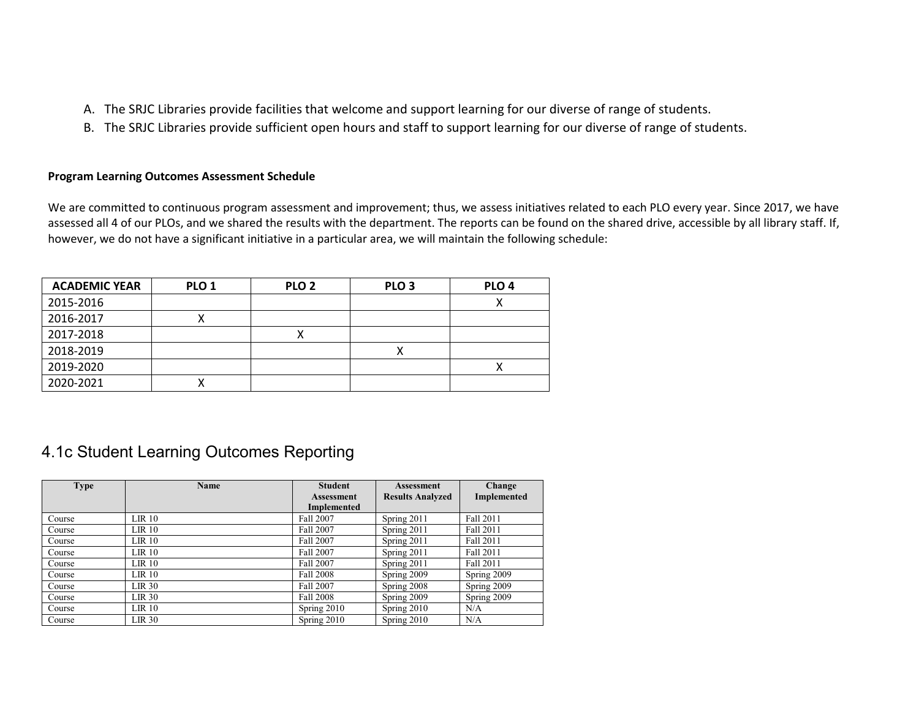- A. The SRJC Libraries provide facilities that welcome and support learning for our diverse of range of students.
- B. The SRJC Libraries provide sufficient open hours and staff to support learning for our diverse of range of students.

#### **Program Learning Outcomes Assessment Schedule**

We are committed to continuous program assessment and improvement; thus, we assess initiatives related to each PLO every year. Since 2017, we have assessed all 4 of our PLOs, and we shared the results with the department. The reports can be found on the shared drive, accessible by all library staff. If, however, we do not have a significant initiative in a particular area, we will maintain the following schedule:

| <b>ACADEMIC YEAR</b> | PLO <sub>1</sub> | PLO <sub>2</sub> | PLO <sub>3</sub> | PLO <sub>4</sub> |
|----------------------|------------------|------------------|------------------|------------------|
| 2015-2016            |                  |                  |                  | ↗                |
| 2016-2017            |                  |                  |                  |                  |
| 2017-2018            |                  |                  |                  |                  |
| 2018-2019            |                  |                  |                  |                  |
| 2019-2020            |                  |                  |                  |                  |
| 2020-2021            |                  |                  |                  |                  |

### 4.1c Student Learning Outcomes Reporting

| <b>Type</b> | <b>Name</b>       | <b>Student</b>     | <b>Assessment</b>       | Change      |
|-------------|-------------------|--------------------|-------------------------|-------------|
|             |                   | <b>Assessment</b>  | <b>Results Analyzed</b> | Implemented |
|             |                   | <b>Implemented</b> |                         |             |
| Course      | LIR 10            | <b>Fall 2007</b>   | Spring 2011             | Fall 2011   |
| Course      | LIR 10            | <b>Fall 2007</b>   | Spring 2011             | Fall 2011   |
| Course      | LIR 10            | <b>Fall 2007</b>   | Spring 2011             | Fall 2011   |
| Course      | $LIR$ 10          | <b>Fall 2007</b>   | Spring 2011             | Fall 2011   |
| Course      | LIR 10            | <b>Fall 2007</b>   | Spring 2011             | Fall 2011   |
| Course      | LIR 10            | <b>Fall 2008</b>   | Spring 2009             | Spring 2009 |
| Course      | LIR <sub>30</sub> | <b>Fall 2007</b>   | Spring 2008             | Spring 2009 |
| Course      | LIR 30            | <b>Fall 2008</b>   | Spring 2009             | Spring 2009 |
| Course      | LIR 10            | Spring $2010$      | Spring $2010$           | N/A         |
| Course      | LIR <sub>30</sub> | Spring 2010        | Spring 2010             | N/A         |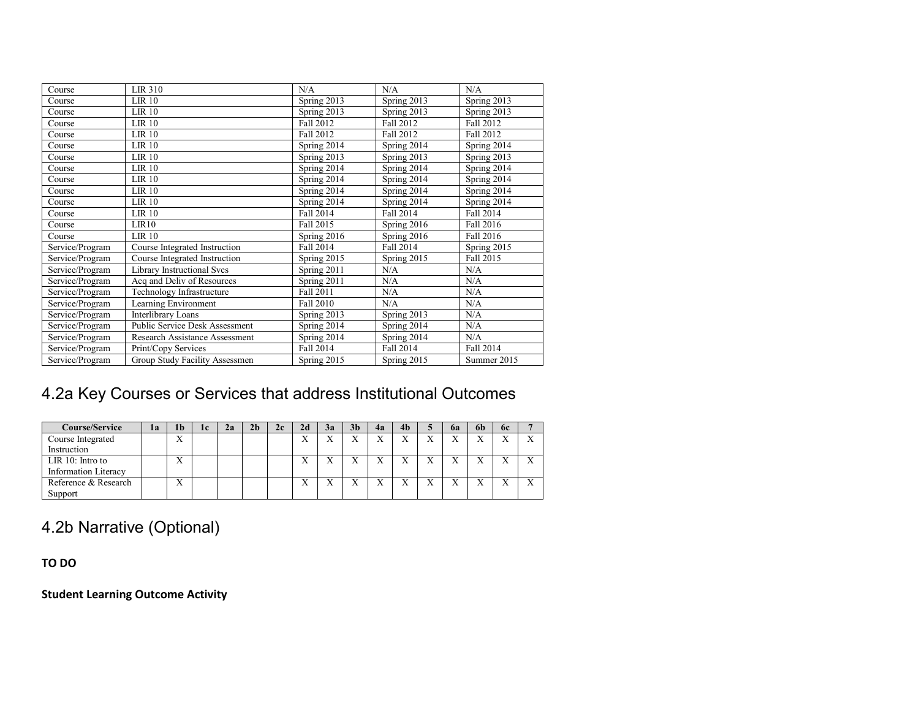| Course          | LIR 310                           | N/A              | N/A         | N/A         |
|-----------------|-----------------------------------|------------------|-------------|-------------|
| Course          | <b>LIR 10</b>                     | Spring 2013      | Spring 2013 | Spring 2013 |
| Course          | LR <sub>10</sub>                  | Spring 2013      | Spring 2013 | Spring 2013 |
| Course          | $LIR$ 10                          | <b>Fall 2012</b> | Fall 2012   | Fall 2012   |
| Course          | <b>LIR 10</b>                     | Fall 2012        | Fall 2012   | Fall 2012   |
| Course          | $LIR$ 10                          | Spring 2014      | Spring 2014 | Spring 2014 |
| Course          | $LIR$ 10                          | Spring 2013      | Spring 2013 | Spring 2013 |
| Course          | <b>LIR 10</b>                     | Spring 2014      | Spring 2014 | Spring 2014 |
| Course          | <b>LIR 10</b>                     | Spring 2014      | Spring 2014 | Spring 2014 |
| Course          | <b>LIR 10</b>                     | Spring 2014      | Spring 2014 | Spring 2014 |
| Course          | <b>LIR 10</b>                     | Spring 2014      | Spring 2014 | Spring 2014 |
| Course          | $LIR$ 10                          | Fall 2014        | Fall 2014   | Fall 2014   |
| Course          | LIR10                             | Fall 2015        | Spring 2016 | Fall 2016   |
| Course          | LR <sub>10</sub>                  | Spring 2016      | Spring 2016 | Fall 2016   |
| Service/Program | Course Integrated Instruction     | Fall 2014        | Fall 2014   | Spring 2015 |
| Service/Program | Course Integrated Instruction     | Spring 2015      | Spring 2015 | Fall 2015   |
| Service/Program | <b>Library Instructional Svcs</b> | Spring 2011      | N/A         | N/A         |
| Service/Program | Acq and Deliv of Resources        | Spring 2011      | N/A         | N/A         |
| Service/Program | Technology Infrastructure         | Fall 2011        | N/A         | N/A         |
| Service/Program | Learning Environment              | Fall 2010        | N/A         | N/A         |
| Service/Program | <b>Interlibrary Loans</b>         | Spring 2013      | Spring 2013 | N/A         |
| Service/Program | Public Service Desk Assessment    | Spring 2014      | Spring 2014 | N/A         |
| Service/Program | Research Assistance Assessment    | Spring 2014      | Spring 2014 | N/A         |
| Service/Program | Print/Copy Services               | Fall 2014        | Fall 2014   | Fall 2014   |
| Service/Program | Group Study Facility Assessmen    | Spring 2015      | Spring 2015 | Summer 2015 |

# 4.2a Key Courses or Services that address Institutional Outcomes

| <b>Course/Service</b>       | la | 1 <sub>b</sub>    | 1c | 2a | 2b | 2c | 2d  | 3a           | 3 <sub>b</sub> | 4a | 4 <sub>b</sub>            |              | 6a | 6h | <b>6c</b> |              |
|-----------------------------|----|-------------------|----|----|----|----|-----|--------------|----------------|----|---------------------------|--------------|----|----|-----------|--------------|
| Course Integrated           |    | $\mathbf{v}$<br>л |    |    |    |    | v v | $\mathbf{v}$ | $\mathbf{v}$   | X  | $\mathbf{v}$<br>$\lambda$ | $\mathbf{v}$ | ۳z |    |           | ٦Z           |
| Instruction                 |    |                   |    |    |    |    |     |              |                |    |                           |              |    |    |           |              |
| $LIR$ 10: Intro to          |    | $\mathbf{v}$<br>л |    |    |    |    |     |              | $\mathbf{v}$   | X  | $\mathbf{v}$              | $\mathbf{v}$ |    |    |           | $\mathbf{v}$ |
| <b>Information Literacy</b> |    |                   |    |    |    |    |     |              |                |    |                           |              |    |    |           |              |
| Reference & Research        |    | $\mathbf{v}$<br>л |    |    |    |    | v v |              | $\mathbf{v}$   | X  | $\mathbf{v}$              | $\mathbf{v}$ | ٦z |    |           | $\mathbf{v}$ |
| Support                     |    |                   |    |    |    |    |     |              |                |    |                           |              |    |    |           |              |

4.2b Narrative (Optional)

**TO DO**

**Student Learning Outcome Activity**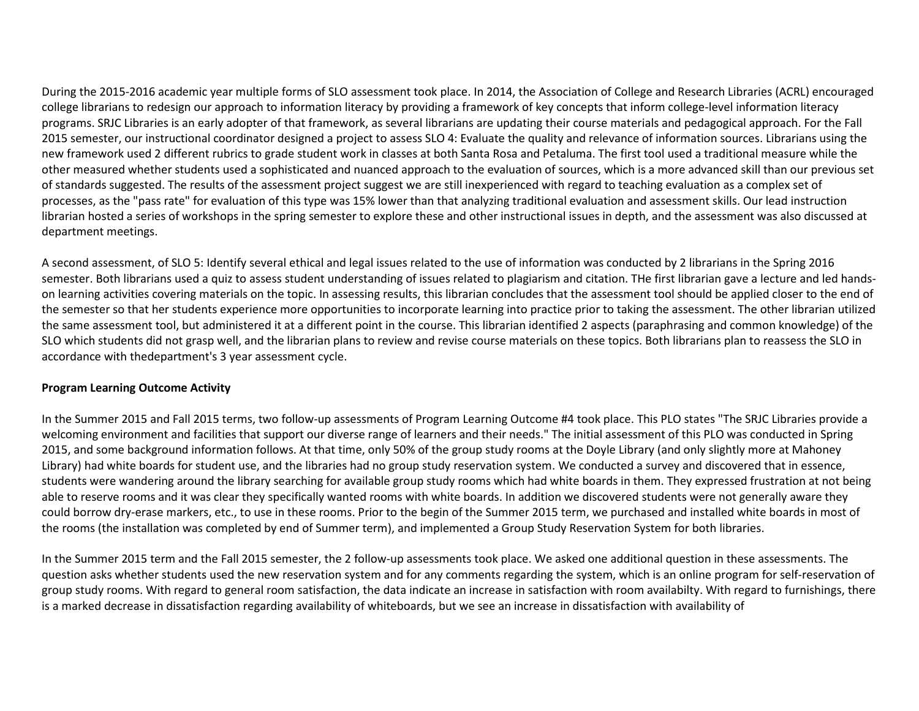During the 2015-2016 academic year multiple forms of SLO assessment took place. In 2014, the Association of College and Research Libraries (ACRL) encouraged college librarians to redesign our approach to information literacy by providing a framework of key concepts that inform college-level information literacy programs. SRJC Libraries is an early adopter of that framework, as several librarians are updating their course materials and pedagogical approach. For the Fall 2015 semester, our instructional coordinator designed a project to assess SLO 4: Evaluate the quality and relevance of information sources. Librarians using the new framework used 2 different rubrics to grade student work in classes at both Santa Rosa and Petaluma. The first tool used a traditional measure while the other measured whether students used a sophisticated and nuanced approach to the evaluation of sources, which is a more advanced skill than our previous set of standards suggested. The results of the assessment project suggest we are still inexperienced with regard to teaching evaluation as a complex set of processes, as the "pass rate" for evaluation of this type was 15% lower than that analyzing traditional evaluation and assessment skills. Our lead instruction librarian hosted a series of workshops in the spring semester to explore these and other instructional issues in depth, and the assessment was also discussed at department meetings.

A second assessment, of SLO 5: Identify several ethical and legal issues related to the use of information was conducted by 2 librarians in the Spring 2016 semester. Both librarians used a quiz to assess student understanding of issues related to plagiarism and citation. THe first librarian gave a lecture and led handson learning activities covering materials on the topic. In assessing results, this librarian concludes that the assessment tool should be applied closer to the end of the semester so that her students experience more opportunities to incorporate learning into practice prior to taking the assessment. The other librarian utilized the same assessment tool, but administered it at a different point in the course. This librarian identified 2 aspects (paraphrasing and common knowledge) of the SLO which students did not grasp well, and the librarian plans to review and revise course materials on these topics. Both librarians plan to reassess the SLO in accordance with thedepartment's 3 year assessment cycle.

#### **Program Learning Outcome Activity**

In the Summer 2015 and Fall 2015 terms, two follow-up assessments of Program Learning Outcome #4 took place. This PLO states "The SRJC Libraries provide a welcoming environment and facilities that support our diverse range of learners and their needs." The initial assessment of this PLO was conducted in Spring 2015, and some background information follows. At that time, only 50% of the group study rooms at the Doyle Library (and only slightly more at Mahoney Library) had white boards for student use, and the libraries had no group study reservation system. We conducted a survey and discovered that in essence, students were wandering around the library searching for available group study rooms which had white boards in them. They expressed frustration at not being able to reserve rooms and it was clear they specifically wanted rooms with white boards. In addition we discovered students were not generally aware they could borrow dry-erase markers, etc., to use in these rooms. Prior to the begin of the Summer 2015 term, we purchased and installed white boards in most of the rooms (the installation was completed by end of Summer term), and implemented a Group Study Reservation System for both libraries.

In the Summer 2015 term and the Fall 2015 semester, the 2 follow-up assessments took place. We asked one additional question in these assessments. The question asks whether students used the new reservation system and for any comments regarding the system, which is an online program for self-reservation of group study rooms. With regard to general room satisfaction, the data indicate an increase in satisfaction with room availabilty. With regard to furnishings, there is a marked decrease in dissatisfaction regarding availability of whiteboards, but we see an increase in dissatisfaction with availability of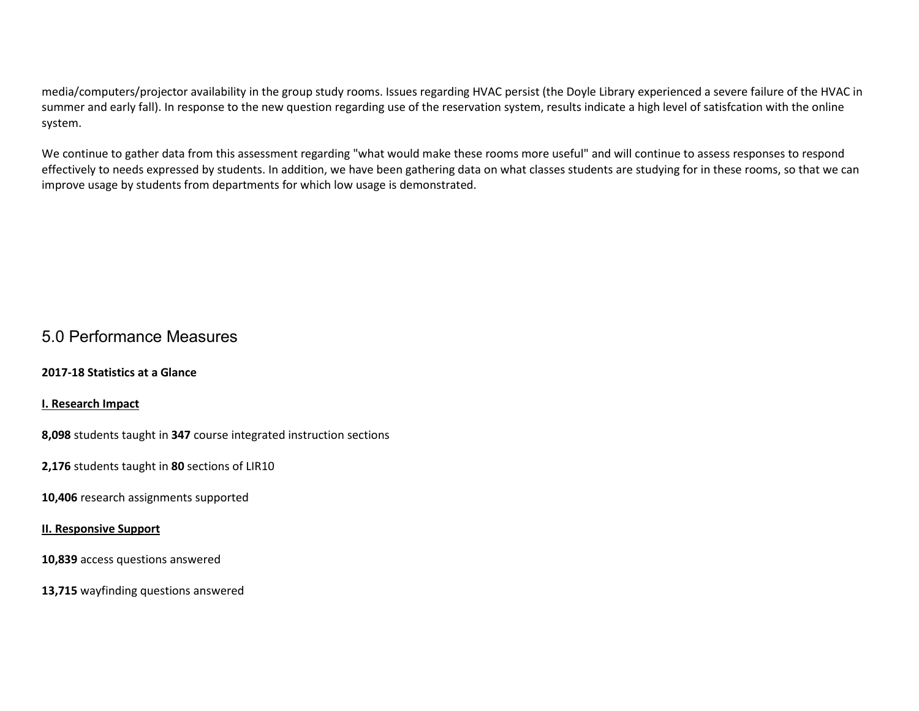media/computers/projector availability in the group study rooms. Issues regarding HVAC persist (the Doyle Library experienced a severe failure of the HVAC in summer and early fall). In response to the new question regarding use of the reservation system, results indicate a high level of satisfcation with the online system.

We continue to gather data from this assessment regarding "what would make these rooms more useful" and will continue to assess responses to respond effectively to needs expressed by students. In addition, we have been gathering data on what classes students are studying for in these rooms, so that we can improve usage by students from departments for which low usage is demonstrated.

### 5.0 Performance Measures

**2017-18 Statistics at a Glance** 

**I. Research Impact**

**8,098** students taught in **347** course integrated instruction sections

**2,176** students taught in **80** sections of LIR10

**10,406** research assignments supported

#### **II. Responsive Support**

**10,839** access questions answered

**13,715** wayfinding questions answered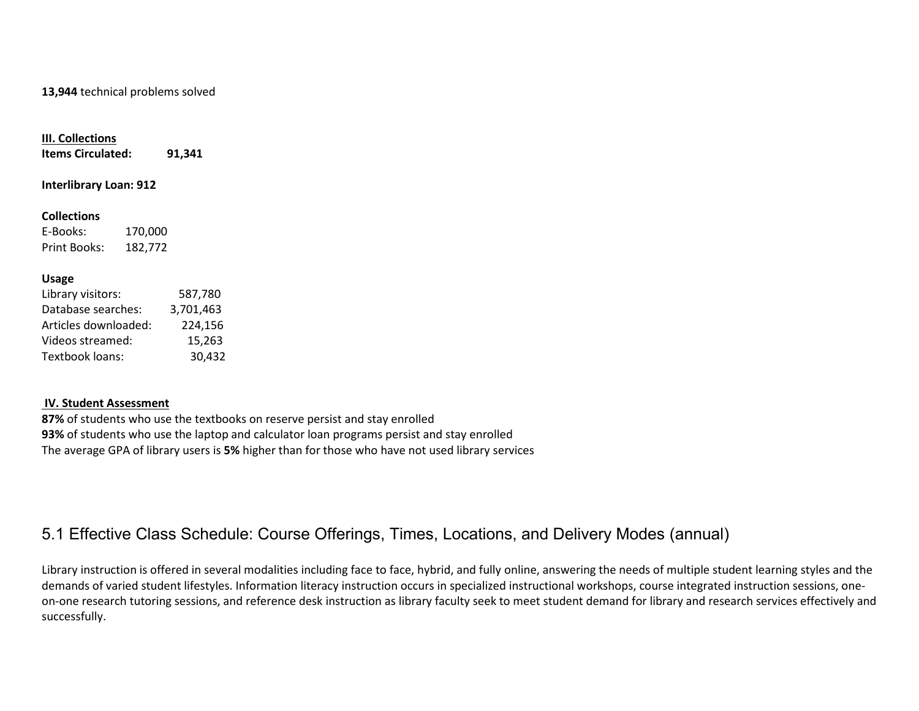#### **13,944** technical problems solved

#### **III. Collections**

**Items Circulated: 91,341**

**Interlibrary Loan: 912**

#### **Collections**

E-Books: 170,000 Print Books: 182,772

#### **Usage**

| 587,780   |
|-----------|
| 3,701,463 |
| 224,156   |
| 15,263    |
| 30,432    |
|           |

#### **IV. Student Assessment**

**87%** of students who use the textbooks on reserve persist and stay enrolled **93%** of students who use the laptop and calculator loan programs persist and stay enrolled The average GPA of library users is **5%** higher than for those who have not used library services

### 5.1 Effective Class Schedule: Course Offerings, Times, Locations, and Delivery Modes (annual)

Library instruction is offered in several modalities including face to face, hybrid, and fully online, answering the needs of multiple student learning styles and the demands of varied student lifestyles. Information literacy instruction occurs in specialized instructional workshops, course integrated instruction sessions, oneon-one research tutoring sessions, and reference desk instruction as library faculty seek to meet student demand for library and research services effectively and successfully.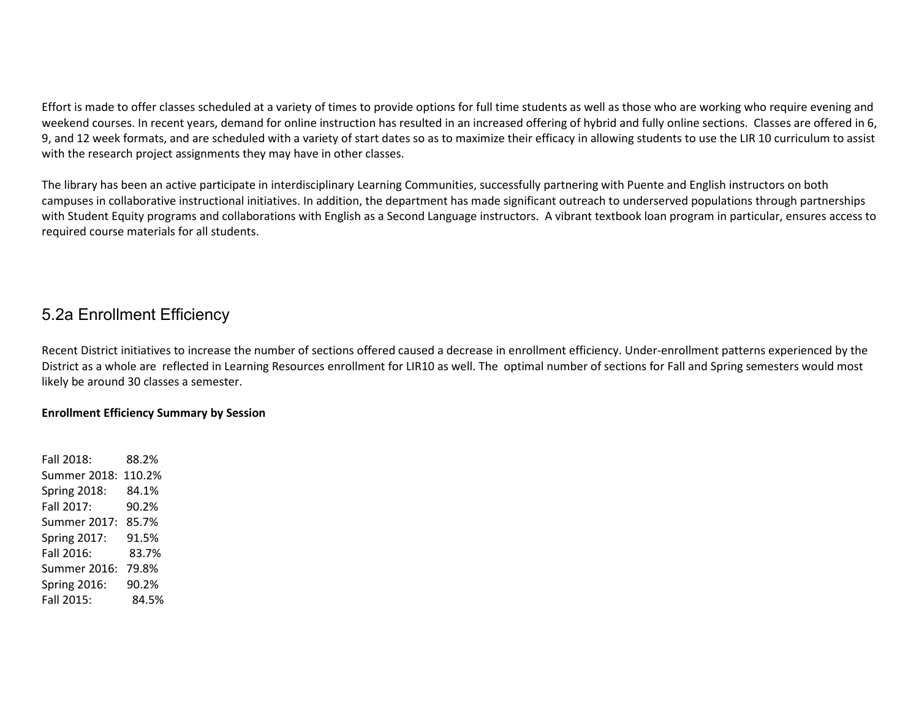Effort is made to offer classes scheduled at a variety of times to provide options for full time students as well as those who are working who require evening and weekend courses. In recent years, demand for online instruction has resulted in an increased offering of hybrid and fully online sections. Classes are offered in 6, 9, and 12 week formats, and are scheduled with a variety of start dates so as to maximize their efficacy in allowing students to use the LIR 10 curriculum to assist with the research project assignments they may have in other classes.

The library has been an active participate in interdisciplinary Learning Communities, successfully partnering with Puente and English instructors on both campuses in collaborative instructional initiatives. In addition, the department has made significant outreach to underserved populations through partnerships with Student Equity programs and collaborations with English as a Second Language instructors. A vibrant textbook loan program in particular, ensures access to required course materials for all students.

### 5.2a Enrollment Efficiency

Recent District initiatives to increase the number of sections offered caused a decrease in enrollment efficiency. Under-enrollment patterns experienced by the District as a whole are reflected in Learning Resources enrollment for LIR10 as well. The optimal number of sections for Fall and Spring semesters would most likely be around 30 classes a semester.

### **Enrollment Efficiency Summary by Session**

Fall 2018: 88.2% Summer 2018: 110.2% Spring 2018: 84.1% Fall 2017: 90.2% Summer 2017: 85.7% Spring 2017: 91.5% Fall 2016: 83.7% Summer 2016: 79.8% Spring 2016: 90.2% Fall 2015: 84.5%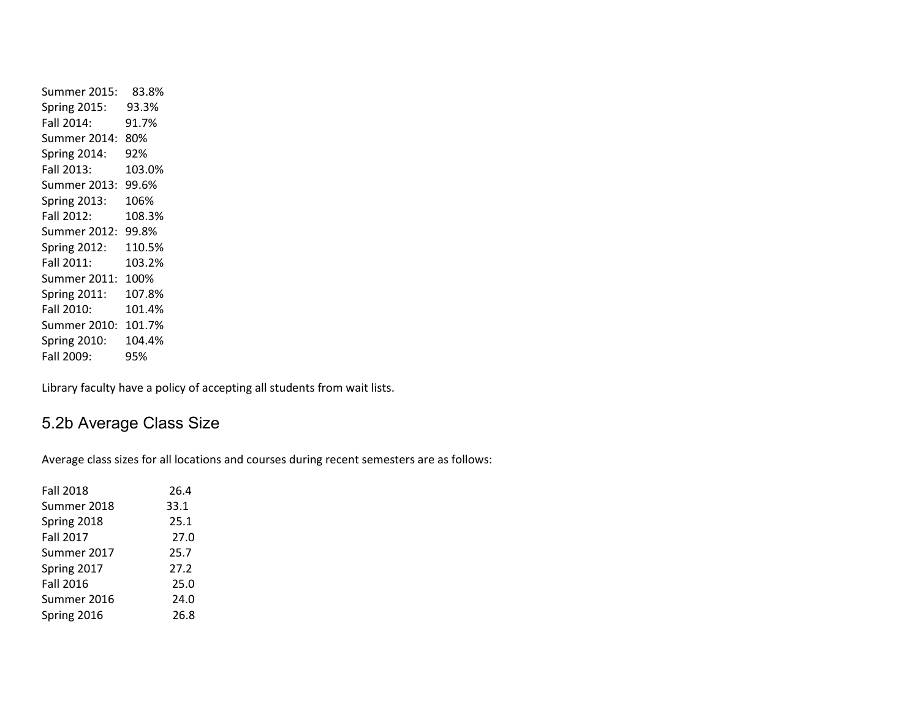Summer 2015: 83.8% Spring 2015: 93.3% Fall 2014: 91.7% Summer 2014: 80% Spring 2014: 92% Fall 2013: 103.0% Summer 2013: 99.6% Spring 2013: 106% Fall 2012: 108.3% Summer 2012: 99.8% Spring 2012: 110.5% Fall 2011: 103.2% Summer 2011: 100% Spring 2011: 107.8% Fall 2010: 101.4% Summer 2010: 101.7% Spring 2010: 104.4% Fall 2009: 95%

Library faculty have a policy of accepting all students from wait lists.

### 5.2b Average Class Size

Average class sizes for all locations and courses during recent semesters are as follows:

| <b>Fall 2018</b> | 26.4 |
|------------------|------|
| Summer 2018      | 33.1 |
| Spring 2018      | 25.1 |
| <b>Fall 2017</b> | 27.0 |
| Summer 2017      | 25.7 |
| Spring 2017      | 27.2 |
| <b>Fall 2016</b> | 25.0 |
| Summer 2016      | 24.0 |
| Spring 2016      | 26.8 |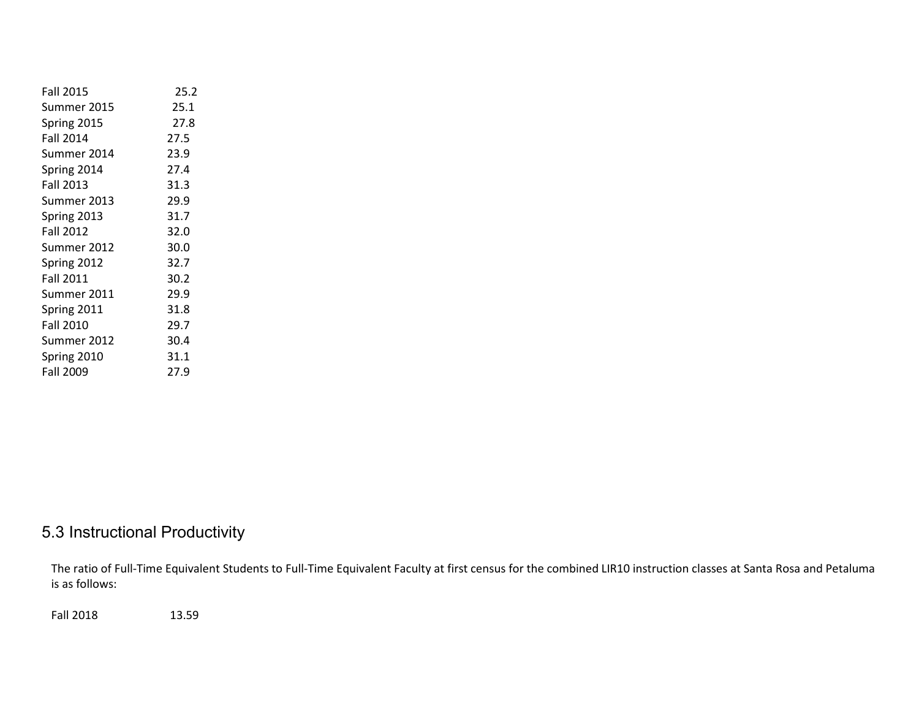| <b>Fall 2015</b> | 25.2 |
|------------------|------|
| Summer 2015      | 25.1 |
| Spring 2015      | 27.8 |
| <b>Fall 2014</b> | 27.5 |
| Summer 2014      | 23.9 |
| Spring 2014      | 27.4 |
| <b>Fall 2013</b> | 31.3 |
| Summer 2013      | 29.9 |
| Spring 2013      | 31.7 |
| <b>Fall 2012</b> | 32.0 |
| Summer 2012      | 30.0 |
| Spring 2012      | 32.7 |
| <b>Fall 2011</b> | 30.2 |
| Summer 2011      | 29.9 |
| Spring 2011      | 31.8 |
| <b>Fall 2010</b> | 29.7 |
| Summer 2012      | 30.4 |
| Spring 2010      | 31.1 |
| <b>Fall 2009</b> | 27.9 |

# 5.3 Instructional Productivity

The ratio of Full-Time Equivalent Students to Full-Time Equivalent Faculty at first census for the combined LIR10 instruction classes at Santa Rosa and Petaluma is as follows:

Fall 2018 13.59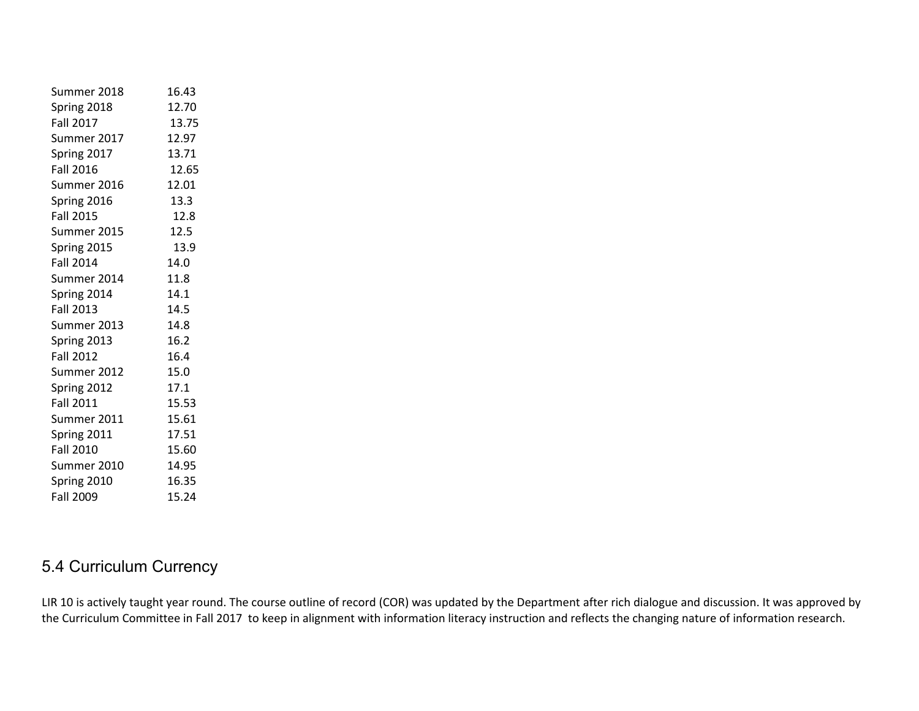| Summer 2018      | 16.43 |
|------------------|-------|
| Spring 2018      | 12.70 |
| <b>Fall 2017</b> | 13.75 |
| Summer 2017      | 12.97 |
| Spring 2017      | 13.71 |
| <b>Fall 2016</b> | 12.65 |
| Summer 2016      | 12.01 |
| Spring 2016      | 13.3  |
| <b>Fall 2015</b> | 12.8  |
| Summer 2015      | 12.5  |
| Spring 2015      | 13.9  |
| <b>Fall 2014</b> | 14.0  |
| Summer 2014      | 11.8  |
| Spring 2014      | 14.1  |
| <b>Fall 2013</b> | 14.5  |
| Summer 2013      | 14.8  |
| Spring 2013      | 16.2  |
| <b>Fall 2012</b> | 16.4  |
| Summer 2012      | 15.0  |
| Spring 2012      | 17.1  |
| <b>Fall 2011</b> | 15.53 |
| Summer 2011      | 15.61 |
| Spring 2011      | 17.51 |
| <b>Fall 2010</b> | 15.60 |
| Summer 2010      | 14.95 |
| Spring 2010      | 16.35 |
| <b>Fall 2009</b> | 15.24 |
|                  |       |

# 5.4 Curriculum Currency

LIR 10 is actively taught year round. The course outline of record (COR) was updated by the Department after rich dialogue and discussion. It was approved by the Curriculum Committee in Fall 2017 to keep in alignment with information literacy instruction and reflects the changing nature of information research.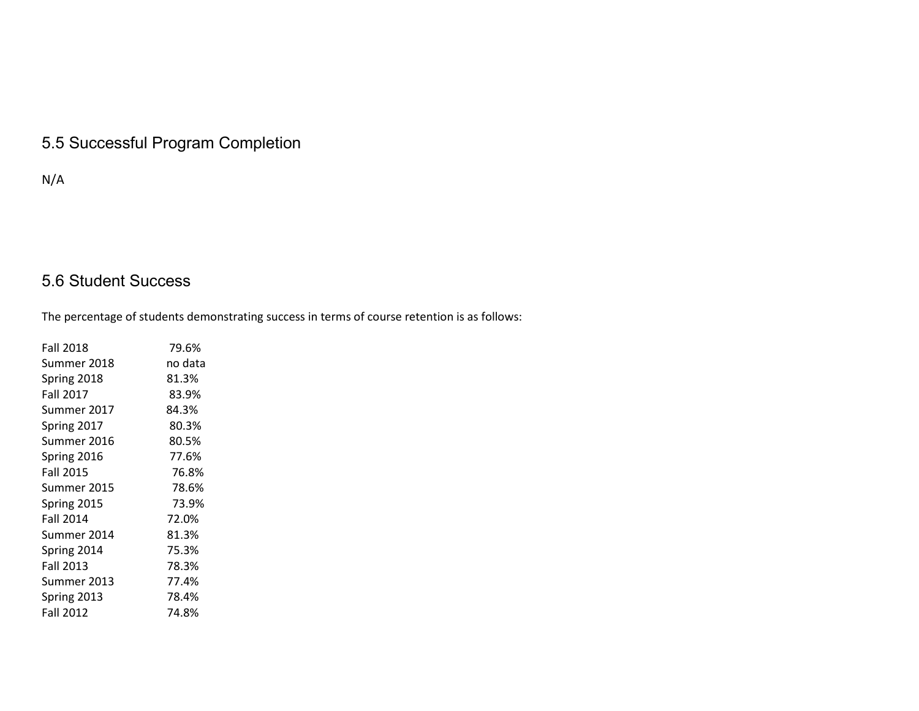# 5.5 Successful Program Completion

N/A

# 5.6 Student Success

The percentage of students demonstrating success in terms of course retention is as follows:

| <b>Fall 2018</b> | 79.6%   |
|------------------|---------|
| Summer 2018      | no data |
| Spring 2018      | 81.3%   |
| <b>Fall 2017</b> | 83.9%   |
| Summer 2017      | 84.3%   |
| Spring 2017      | 80.3%   |
| Summer 2016      | 80.5%   |
| Spring 2016      | 77.6%   |
| <b>Fall 2015</b> | 76.8%   |
| Summer 2015      | 78.6%   |
| Spring 2015      | 73.9%   |
| <b>Fall 2014</b> | 72.0%   |
| Summer 2014      | 81.3%   |
| Spring 2014      | 75.3%   |
| <b>Fall 2013</b> | 78.3%   |
| Summer 2013      | 77.4%   |
| Spring 2013      | 78.4%   |
| <b>Fall 2012</b> | 74.8%   |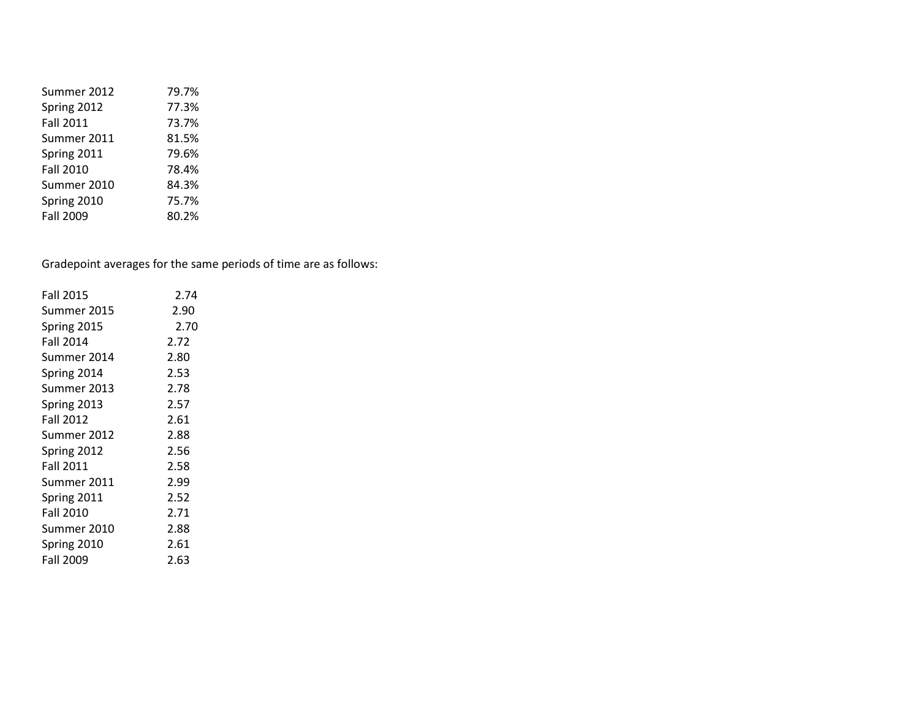| Summer 2012      | 79.7% |
|------------------|-------|
| Spring 2012      | 77.3% |
| Fall 2011        | 73.7% |
| Summer 2011      | 81.5% |
| Spring 2011      | 79.6% |
| <b>Fall 2010</b> | 78.4% |
| Summer 2010      | 84.3% |
| Spring 2010      | 75.7% |
| Fall 2009        | 80.2% |

Gradepoint averages for the same periods of time are as follows:

| <b>Fall 2015</b> | 2.74 |
|------------------|------|
| Summer 2015      | 2.90 |
| Spring 2015      | 2.70 |
| <b>Fall 2014</b> | 2.72 |
| Summer 2014      | 2.80 |
| Spring 2014      | 2.53 |
| Summer 2013      | 2.78 |
| Spring 2013      | 2.57 |
| <b>Fall 2012</b> | 2.61 |
| Summer 2012      | 2.88 |
| Spring 2012      | 2.56 |
| <b>Fall 2011</b> | 2.58 |
| Summer 2011      | 2.99 |
| Spring 2011      | 2.52 |
| <b>Fall 2010</b> | 2.71 |
| Summer 2010      | 2.88 |
| Spring 2010      | 2.61 |
| Fall 2009        | 2.63 |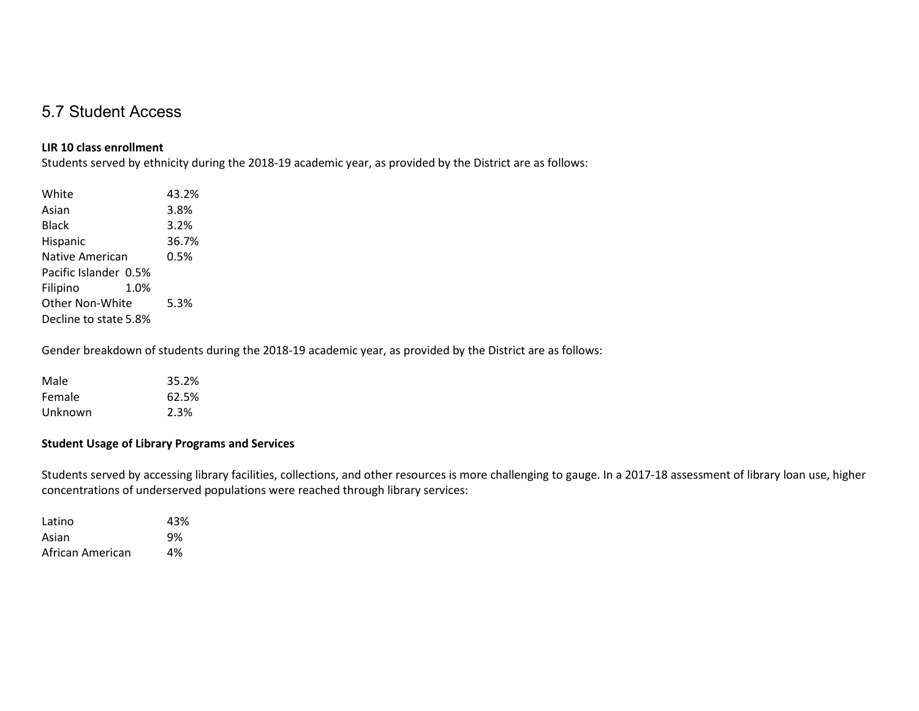### 5.7 Student Access

### **LIR 10 class enrollment**

Students served by ethnicity during the 2018-19 academic year, as provided by the District are as follows:

| White                 |      | 43.2% |
|-----------------------|------|-------|
| Asian                 |      | 3.8%  |
| Black                 |      | 3.2%  |
| Hispanic              |      | 36.7% |
| Native American       |      | 0.5%  |
| Pacific Islander 0.5% |      |       |
| Filipino              | 1.0% |       |
| Other Non-White       |      | 5.3%  |
| Decline to state 5.8% |      |       |
|                       |      |       |

Gender breakdown of students during the 2018-19 academic year, as provided by the District are as follows:

| Male    | 35.2% |
|---------|-------|
| Female  | 62.5% |
| Unknown | 2.3%  |

### **Student Usage of Library Programs and Services**

Students served by accessing library facilities, collections, and other resources is more challenging to gauge. In a 2017-18 assessment of library loan use, higher concentrations of underserved populations were reached through library services:

| Latino           | 43% |
|------------------|-----|
| Asian            | 9%  |
| African American | 4%  |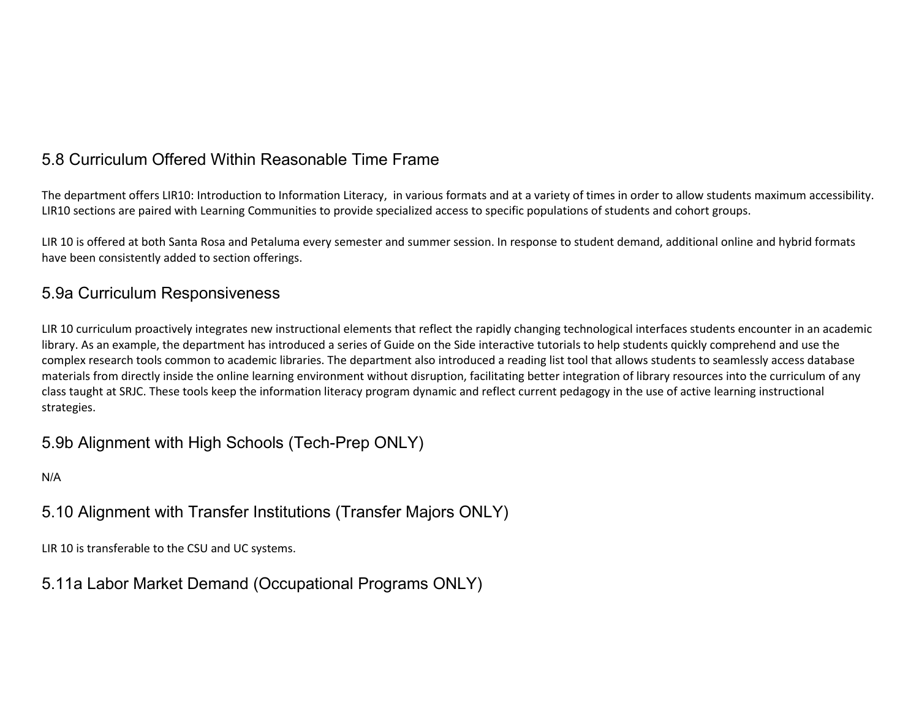# 5.8 Curriculum Offered Within Reasonable Time Frame

The department offers LIR10: Introduction to Information Literacy, in various formats and at a variety of times in order to allow students maximum accessibility. LIR10 sections are paired with Learning Communities to provide specialized access to specific populations of students and cohort groups.

LIR 10 is offered at both Santa Rosa and Petaluma every semester and summer session. In response to student demand, additional online and hybrid formats have been consistently added to section offerings.

### 5.9a Curriculum Responsiveness

LIR 10 curriculum proactively integrates new instructional elements that reflect the rapidly changing technological interfaces students encounter in an academic library. As an example, the department has introduced a series of Guide on the Side interactive tutorials to help students quickly comprehend and use the complex research tools common to academic libraries. The department also introduced a reading list tool that allows students to seamlessly access database materials from directly inside the online learning environment without disruption, facilitating better integration of library resources into the curriculum of any class taught at SRJC. These tools keep the information literacy program dynamic and reflect current pedagogy in the use of active learning instructional strategies.

### 5.9b Alignment with High Schools (Tech-Prep ONLY)

N/A

# 5.10 Alignment with Transfer Institutions (Transfer Majors ONLY)

LIR 10 is transferable to the CSU and UC systems.

5.11a Labor Market Demand (Occupational Programs ONLY)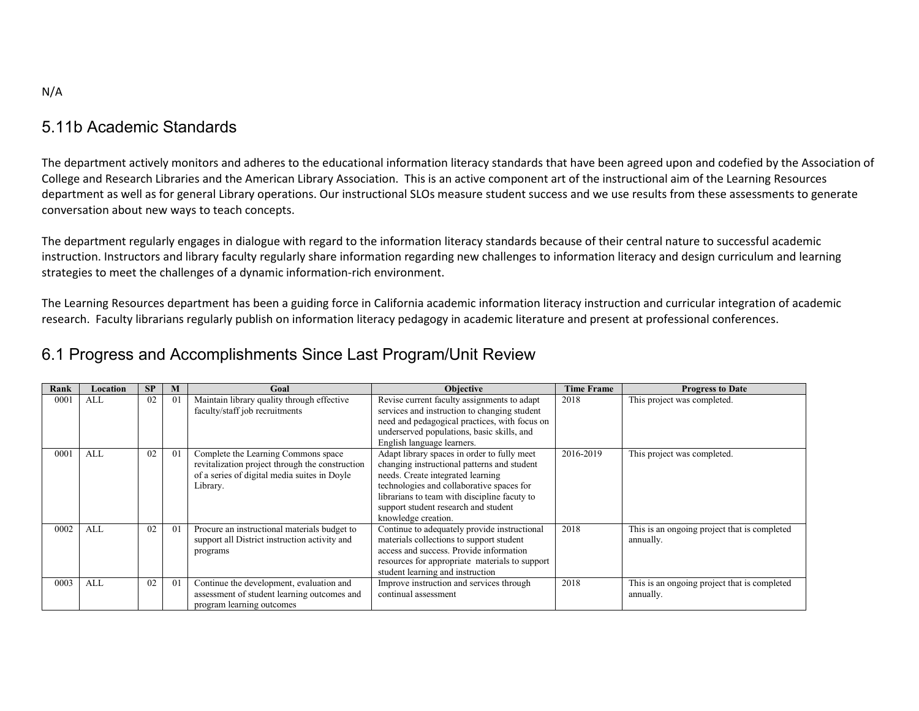### 5.11b Academic Standards

The department actively monitors and adheres to the educational information literacy standards that have been agreed upon and codefied by the Association of College and Research Libraries and the American Library Association. This is an active component art of the instructional aim of the Learning Resources department as well as for general Library operations. Our instructional SLOs measure student success and we use results from these assessments to generate conversation about new ways to teach concepts.

The department regularly engages in dialogue with regard to the information literacy standards because of their central nature to successful academic instruction. Instructors and library faculty regularly share information regarding new challenges to information literacy and design curriculum and learning strategies to meet the challenges of a dynamic information-rich environment.

The Learning Resources department has been a guiding force in California academic information literacy instruction and curricular integration of academic research. Faculty librarians regularly publish on information literacy pedagogy in academic literature and present at professional conferences.

### 6.1 Progress and Accomplishments Since Last Program/Unit Review

| Rank | Location | SP | M              | Goal                                                                                                                                               | <b>Objective</b>                                                                                                                                                                                                                                                                            | <b>Time Frame</b> | <b>Progress to Date</b>                                   |
|------|----------|----|----------------|----------------------------------------------------------------------------------------------------------------------------------------------------|---------------------------------------------------------------------------------------------------------------------------------------------------------------------------------------------------------------------------------------------------------------------------------------------|-------------------|-----------------------------------------------------------|
| 000  | ALL      | 02 | 01             | Maintain library quality through effective<br>faculty/staff job recruitments                                                                       | Revise current faculty assignments to adapt<br>services and instruction to changing student<br>need and pedagogical practices, with focus on<br>underserved populations, basic skills, and<br>English language learners.                                                                    | 2018              | This project was completed.                               |
| 0001 | ALL      | 02 | 01             | Complete the Learning Commons space<br>revitalization project through the construction<br>of a series of digital media suites in Doyle<br>Library. | Adapt library spaces in order to fully meet<br>changing instructional patterns and student<br>needs. Create integrated learning<br>technologies and collaborative spaces for<br>librarians to team with discipline facuty to<br>support student research and student<br>knowledge creation. | 2016-2019         | This project was completed.                               |
| 0002 | ALL      | 02 | 0 <sub>1</sub> | Procure an instructional materials budget to<br>support all District instruction activity and<br>programs                                          | Continue to adequately provide instructional<br>materials collections to support student<br>access and success. Provide information<br>resources for appropriate materials to support<br>student learning and instruction                                                                   | 2018              | This is an ongoing project that is completed<br>annually. |
| 0003 | ALL      | 02 | 01             | Continue the development, evaluation and<br>assessment of student learning outcomes and<br>program learning outcomes                               | Improve instruction and services through<br>continual assessment                                                                                                                                                                                                                            | 2018              | This is an ongoing project that is completed<br>annually. |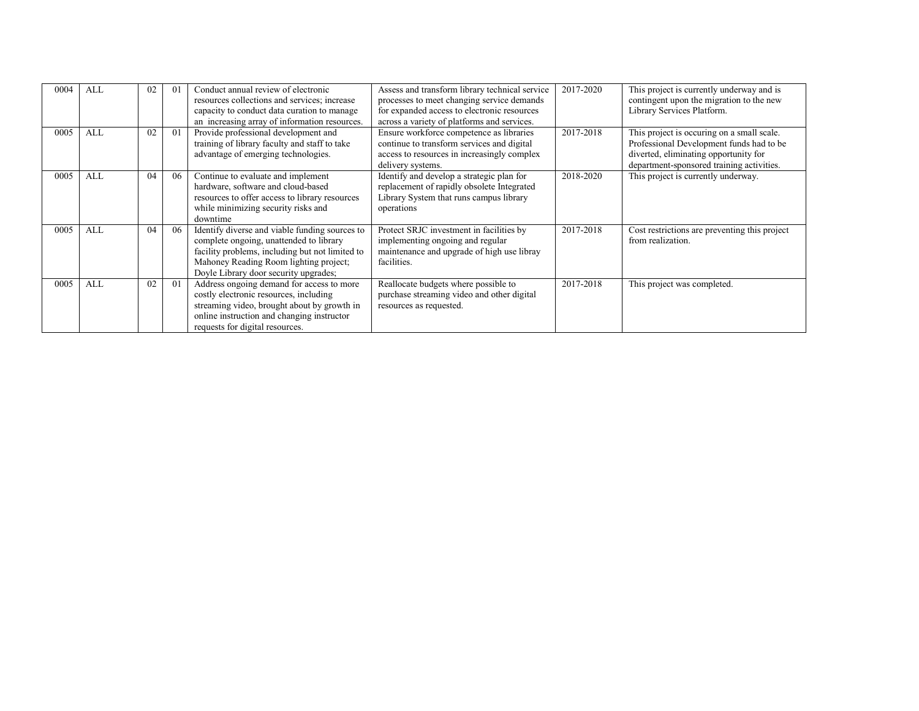| 0004 | <b>ALL</b> | 02 | 0 <sub>1</sub> | Conduct annual review of electronic<br>resources collections and services; increase<br>capacity to conduct data curation to manage<br>an increasing array of information resources.                                             | Assess and transform library technical service<br>processes to meet changing service demands<br>for expanded access to electronic resources<br>across a variety of platforms and services. | 2017-2020 | This project is currently underway and is<br>contingent upon the migration to the new<br>Library Services Platform.                                                          |
|------|------------|----|----------------|---------------------------------------------------------------------------------------------------------------------------------------------------------------------------------------------------------------------------------|--------------------------------------------------------------------------------------------------------------------------------------------------------------------------------------------|-----------|------------------------------------------------------------------------------------------------------------------------------------------------------------------------------|
| 0005 | ALL        | 02 | 0 <sub>1</sub> | Provide professional development and<br>training of library faculty and staff to take<br>advantage of emerging technologies.                                                                                                    | Ensure workforce competence as libraries<br>continue to transform services and digital<br>access to resources in increasingly complex<br>delivery systems.                                 | 2017-2018 | This project is occuring on a small scale.<br>Professional Development funds had to be<br>diverted, eliminating opportunity for<br>department-sponsored training activities. |
| 0005 | <b>ALL</b> | 04 | 06             | Continue to evaluate and implement<br>hardware, software and cloud-based<br>resources to offer access to library resources<br>while minimizing security risks and<br>downtime                                                   | Identify and develop a strategic plan for<br>replacement of rapidly obsolete Integrated<br>Library System that runs campus library<br>operations                                           | 2018-2020 | This project is currently underway.                                                                                                                                          |
| 0005 | <b>ALL</b> | 04 | 06             | Identify diverse and viable funding sources to<br>complete ongoing, unattended to library<br>facility problems, including but not limited to<br>Mahoney Reading Room lighting project;<br>Doyle Library door security upgrades; | Protect SRJC investment in facilities by<br>implementing ongoing and regular<br>maintenance and upgrade of high use libray<br>facilities.                                                  | 2017-2018 | Cost restrictions are preventing this project<br>from realization.                                                                                                           |
| 0005 | <b>ALL</b> | 02 | 0 <sub>1</sub> | Address ongoing demand for access to more<br>costly electronic resources, including<br>streaming video, brought about by growth in<br>online instruction and changing instructor<br>requests for digital resources.             | Reallocate budgets where possible to<br>purchase streaming video and other digital<br>resources as requested.                                                                              | 2017-2018 | This project was completed.                                                                                                                                                  |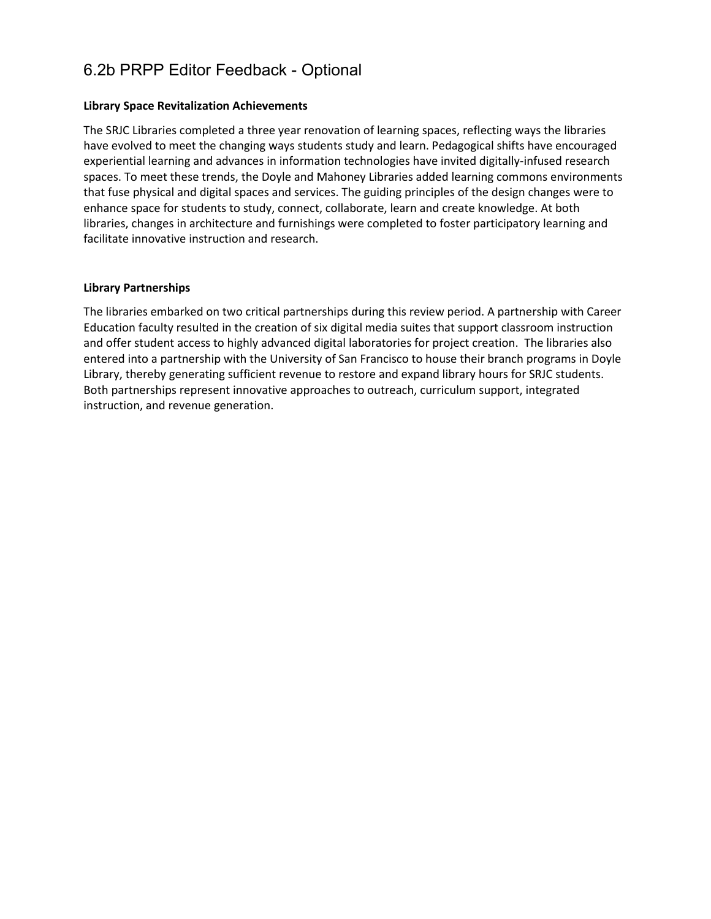# 6.2b PRPP Editor Feedback - Optional

### **Library Space Revitalization Achievements**

The SRJC Libraries completed a three year renovation of learning spaces, reflecting ways the libraries have evolved to meet the changing ways students study and learn. Pedagogical shifts have encouraged experiential learning and advances in information technologies have invited digitally-infused research spaces. To meet these trends, the Doyle and Mahoney Libraries added learning commons environments that fuse physical and digital spaces and services. The guiding principles of the design changes were to enhance space for students to study, connect, collaborate, learn and create knowledge. At both libraries, changes in architecture and furnishings were completed to foster participatory learning and facilitate innovative instruction and research.

### **Library Partnerships**

The libraries embarked on two critical partnerships during this review period. A partnership with Career Education faculty resulted in the creation of six digital media suites that support classroom instruction and offer student access to highly advanced digital laboratories for project creation. The libraries also entered into a partnership with the University of San Francisco to house their branch programs in Doyle Library, thereby generating sufficient revenue to restore and expand library hours for SRJC students. Both partnerships represent innovative approaches to outreach, curriculum support, integrated instruction, and revenue generation.